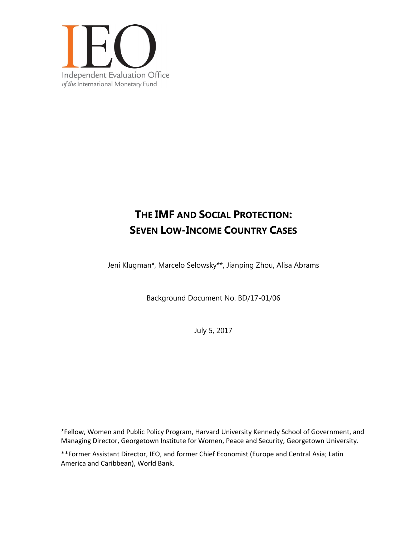

# **THE IMF AND SOCIAL PROTECTION: SEVEN LOW-INCOME COUNTRY CASES**

Jeni Klugman\*, Marcelo Selowsky\*\*, Jianping Zhou, Alisa Abrams

Background Document No. BD/17-01/06

July 5, 2017

\*Fellow, Women and Public Policy Program, Harvard University Kennedy School of Government, and Managing Director, Georgetown Institute for Women, Peace and Security, Georgetown University.

\*\*Former Assistant Director, IEO, and former Chief Economist (Europe and Central Asia; Latin America and Caribbean), World Bank.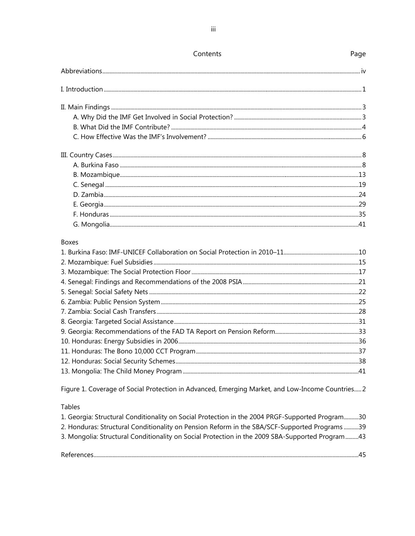| Contents     | Page |
|--------------|------|
|              |      |
|              |      |
|              |      |
|              |      |
|              |      |
|              |      |
|              |      |
|              |      |
|              |      |
|              |      |
|              |      |
|              |      |
|              |      |
|              |      |
| <b>Boxes</b> |      |
|              |      |
|              |      |
|              |      |
|              |      |
|              |      |
|              |      |
|              |      |
|              |      |
|              |      |
|              |      |
|              |      |
|              |      |
|              |      |

Figure 1. Coverage of Social Protection in Advanced, Emerging Market, and Low-Income Countries..... 2

Tables

| 1. Georgia: Structural Conditionality on Social Protection in the 2004 PRGF-Supported Program30 |     |
|-------------------------------------------------------------------------------------------------|-----|
| 2. Honduras: Structural Conditionality on Pension Reform in the SBA/SCF-Supported Programs 39   |     |
| 3. Mongolia: Structural Conditionality on Social Protection in the 2009 SBA-Supported Program43 |     |
|                                                                                                 | .45 |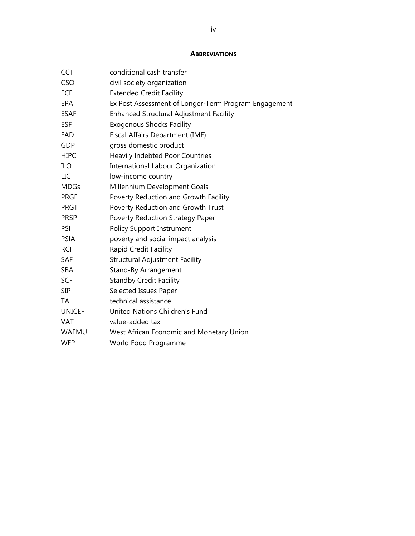### **ABBREVIATIONS**

| <b>CCT</b>    | conditional cash transfer                            |
|---------------|------------------------------------------------------|
| <b>CSO</b>    | civil society organization                           |
| <b>ECF</b>    | <b>Extended Credit Facility</b>                      |
| <b>EPA</b>    | Ex Post Assessment of Longer-Term Program Engagement |
| <b>ESAF</b>   | <b>Enhanced Structural Adjustment Facility</b>       |
| <b>ESF</b>    | <b>Exogenous Shocks Facility</b>                     |
| <b>FAD</b>    | Fiscal Affairs Department (IMF)                      |
| <b>GDP</b>    | gross domestic product                               |
| <b>HIPC</b>   | <b>Heavily Indebted Poor Countries</b>               |
| ILO           | <b>International Labour Organization</b>             |
| LIC           | low-income country                                   |
| <b>MDGs</b>   | Millennium Development Goals                         |
| <b>PRGF</b>   | Poverty Reduction and Growth Facility                |
| <b>PRGT</b>   | Poverty Reduction and Growth Trust                   |
| <b>PRSP</b>   | Poverty Reduction Strategy Paper                     |
| PSI           | <b>Policy Support Instrument</b>                     |
| <b>PSIA</b>   | poverty and social impact analysis                   |
| <b>RCF</b>    | Rapid Credit Facility                                |
| SAF           | <b>Structural Adjustment Facility</b>                |
| <b>SBA</b>    | Stand-By Arrangement                                 |
| <b>SCF</b>    | <b>Standby Credit Facility</b>                       |
| <b>SIP</b>    | Selected Issues Paper                                |
| TA            | technical assistance                                 |
| <b>UNICEF</b> | United Nations Children's Fund                       |
| <b>VAT</b>    | value-added tax                                      |
| WAEMU         | West African Economic and Monetary Union             |
| <b>WFP</b>    | World Food Programme                                 |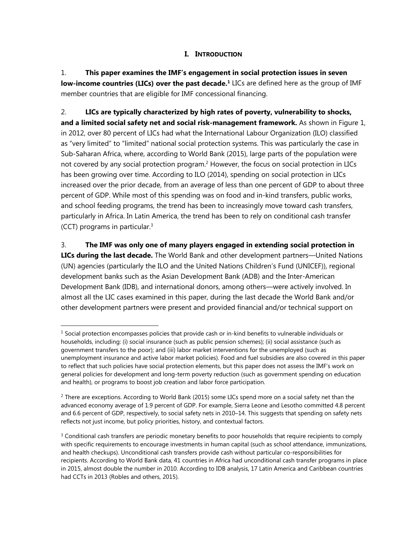## **I. INTRODUCTION**

1. **This paper examines the IMF's engagement in social protection issues in seven low-income countries (LICs) over the past decade.<sup>1</sup> LICs are defined here as the group of IMF** member countries that are eligible for IMF concessional financing.

2. **LICs are typically characterized by high rates of poverty, vulnerability to shocks, and a limited social safety net and social risk-management framework.** As shown in Figure 1, in 2012, over 80 percent of LICs had what the International Labour Organization (ILO) classified as "very limited" to "limited" national social protection systems. This was particularly the case in Sub-Saharan Africa, where, according to World Bank (2015), large parts of the population were not covered by any social protection program.<sup>2</sup> However, the focus on social protection in LICs has been growing over time. According to ILO (2014), spending on social protection in LICs increased over the prior decade, from an average of less than one percent of GDP to about three percent of GDP. While most of this spending was on food and in-kind transfers, public works, and school feeding programs, the trend has been to increasingly move toward cash transfers, particularly in Africa. In Latin America, the trend has been to rely on conditional cash transfer (CCT) programs in particular.3

3. **The IMF was only one of many players engaged in extending social protection in LICs during the last decade.** The World Bank and other development partners—United Nations (UN) agencies (particularly the ILO and the United Nations Children's Fund (UNICEF)), regional development banks such as the Asian Development Bank (ADB) and the Inter-American Development Bank (IDB), and international donors, among others—were actively involved. In almost all the LIC cases examined in this paper, during the last decade the World Bank and/or other development partners were present and provided financial and/or technical support on

 $1$  Social protection encompasses policies that provide cash or in-kind benefits to vulnerable individuals or households, including: (i) social insurance (such as public pension schemes); (ii) social assistance (such as government transfers to the poor); and (iii) labor market interventions for the unemployed (such as unemployment insurance and active labor market policies). Food and fuel subsidies are also covered in this paper to reflect that such policies have social protection elements, but this paper does not assess the IMF's work on general policies for development and long-term poverty reduction (such as government spending on education and health), or programs to boost job creation and labor force participation.

 $<sup>2</sup>$  There are exceptions. According to World Bank (2015) some LICs spend more on a social safety net than the</sup> advanced economy average of 1.9 percent of GDP. For example, Sierra Leone and Lesotho committed 4.8 percent and 6.6 percent of GDP, respectively, to social safety nets in 2010–14. This suggests that spending on safety nets reflects not just income, but policy priorities, history, and contextual factors.

 $3$  Conditional cash transfers are periodic monetary benefits to poor households that require recipients to comply with specific requirements to encourage investments in human capital (such as school attendance, immunizations, and health checkups). Unconditional cash transfers provide cash without particular co-responsibilities for recipients. According to World Bank data, 41 countries in Africa had unconditional cash transfer programs in place in 2015, almost double the number in 2010. According to IDB analysis, 17 Latin America and Caribbean countries had CCTs in 2013 (Robles and others, 2015).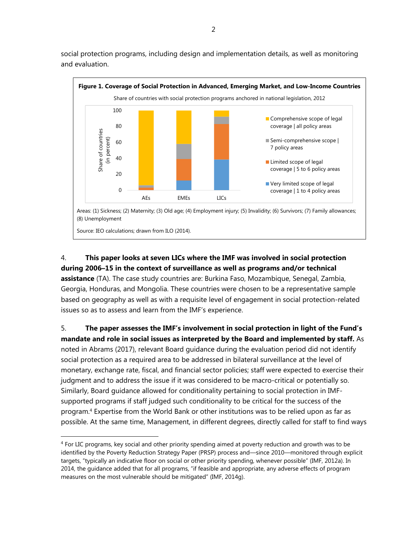social protection programs, including design and implementation details, as well as monitoring and evaluation.



# 4. **This paper looks at seven LICs where the IMF was involved in social protection during 2006–15 in the context of surveillance as well as programs and/or technical**

**assistance** (TA). The case study countries are: Burkina Faso, Mozambique, Senegal, Zambia, Georgia, Honduras, and Mongolia. These countries were chosen to be a representative sample based on geography as well as with a requisite level of engagement in social protection-related issues so as to assess and learn from the IMF's experience.

5. **The paper assesses the IMF's involvement in social protection in light of the Fund's mandate and role in social issues as interpreted by the Board and implemented by staff.** As noted in Abrams (2017), relevant Board guidance during the evaluation period did not identify social protection as a required area to be addressed in bilateral surveillance at the level of monetary, exchange rate, fiscal, and financial sector policies; staff were expected to exercise their judgment and to address the issue if it was considered to be macro-critical or potentially so. Similarly, Board guidance allowed for conditionality pertaining to social protection in IMFsupported programs if staff judged such conditionality to be critical for the success of the program.4 Expertise from the World Bank or other institutions was to be relied upon as far as possible. At the same time, Management, in different degrees, directly called for staff to find ways

<sup>&</sup>lt;sup>4</sup> For LIC programs, key social and other priority spending aimed at poverty reduction and growth was to be identified by the Poverty Reduction Strategy Paper (PRSP) process and—since 2010—monitored through explicit targets, "typically an indicative floor on social or other priority spending, whenever possible" (IMF, 2012a). In 2014, the guidance added that for all programs, "if feasible and appropriate, any adverse effects of program measures on the most vulnerable should be mitigated" (IMF, 2014g).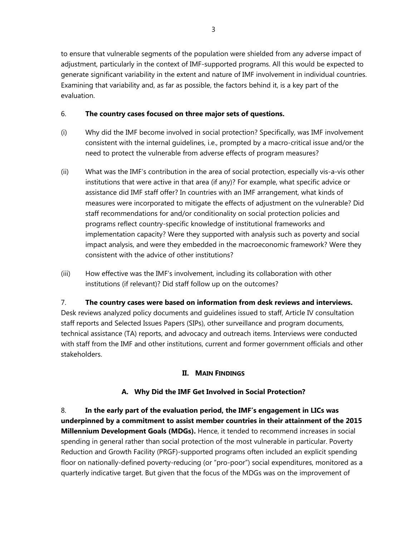to ensure that vulnerable segments of the population were shielded from any adverse impact of adjustment, particularly in the context of IMF-supported programs. All this would be expected to generate significant variability in the extent and nature of IMF involvement in individual countries. Examining that variability and, as far as possible, the factors behind it, is a key part of the evaluation.

## 6. **The country cases focused on three major sets of questions.**

- (i) Why did the IMF become involved in social protection? Specifically, was IMF involvement consistent with the internal guidelines, i.e., prompted by a macro-critical issue and/or the need to protect the vulnerable from adverse effects of program measures?
- (ii) What was the IMF's contribution in the area of social protection, especially vis-a-vis other institutions that were active in that area (if any)? For example, what specific advice or assistance did IMF staff offer? In countries with an IMF arrangement, what kinds of measures were incorporated to mitigate the effects of adjustment on the vulnerable? Did staff recommendations for and/or conditionality on social protection policies and programs reflect country-specific knowledge of institutional frameworks and implementation capacity? Were they supported with analysis such as poverty and social impact analysis, and were they embedded in the macroeconomic framework? Were they consistent with the advice of other institutions?
- (iii) How effective was the IMF's involvement, including its collaboration with other institutions (if relevant)? Did staff follow up on the outcomes?

7. **The country cases were based on information from desk reviews and interviews.**  Desk reviews analyzed policy documents and guidelines issued to staff, Article IV consultation staff reports and Selected Issues Papers (SIPs), other surveillance and program documents, technical assistance (TA) reports, and advocacy and outreach items. Interviews were conducted with staff from the IMF and other institutions, current and former government officials and other stakeholders.

# **II. MAIN FINDINGS**

# **A. Why Did the IMF Get Involved in Social Protection?**

8. **In the early part of the evaluation period, the IMF's engagement in LICs was underpinned by a commitment to assist member countries in their attainment of the 2015 Millennium Development Goals (MDGs).** Hence, it tended to recommend increases in social spending in general rather than social protection of the most vulnerable in particular. Poverty Reduction and Growth Facility (PRGF)-supported programs often included an explicit spending floor on nationally-defined poverty-reducing (or "pro-poor") social expenditures, monitored as a quarterly indicative target. But given that the focus of the MDGs was on the improvement of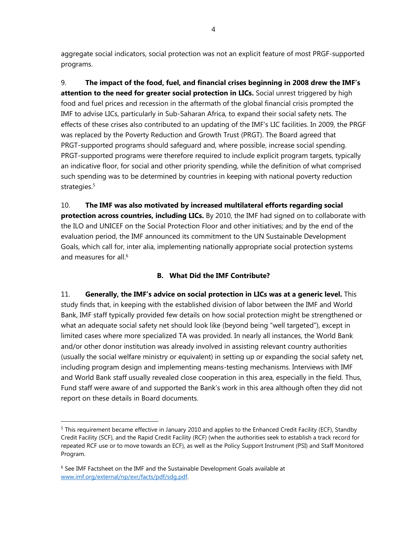aggregate social indicators, social protection was not an explicit feature of most PRGF-supported programs.

9. **The impact of the food, fuel, and financial crises beginning in 2008 drew the IMF's**  attention to the need for greater social protection in LICs. Social unrest triggered by high food and fuel prices and recession in the aftermath of the global financial crisis prompted the IMF to advise LICs, particularly in Sub-Saharan Africa, to expand their social safety nets. The effects of these crises also contributed to an updating of the IMF's LIC facilities. In 2009, the PRGF was replaced by the Poverty Reduction and Growth Trust (PRGT). The Board agreed that PRGT-supported programs should safeguard and, where possible, increase social spending. PRGT-supported programs were therefore required to include explicit program targets, typically an indicative floor, for social and other priority spending, while the definition of what comprised such spending was to be determined by countries in keeping with national poverty reduction strategies.<sup>5</sup>

10. **The IMF was also motivated by increased multilateral efforts regarding social protection across countries, including LICs.** By 2010, the IMF had signed on to collaborate with the ILO and UNICEF on the Social Protection Floor and other initiatives; and by the end of the evaluation period, the IMF announced its commitment to the UN Sustainable Development Goals, which call for, inter alia, implementing nationally appropriate social protection systems and measures for all.<sup>6</sup>

# **B. What Did the IMF Contribute?**

11. **Generally, the IMF's advice on social protection in LICs was at a generic level.** This study finds that, in keeping with the established division of labor between the IMF and World Bank, IMF staff typically provided few details on how social protection might be strengthened or what an adequate social safety net should look like (beyond being "well targeted"), except in limited cases where more specialized TA was provided. In nearly all instances, the World Bank and/or other donor institution was already involved in assisting relevant country authorities (usually the social welfare ministry or equivalent) in setting up or expanding the social safety net, including program design and implementing means-testing mechanisms. Interviews with IMF and World Bank staff usually revealed close cooperation in this area, especially in the field. Thus, Fund staff were aware of and supported the Bank's work in this area although often they did not report on these details in Board documents.

<sup>5</sup> This requirement became effective in January 2010 and applies to the Enhanced Credit Facility (ECF), Standby Credit Facility (SCF), and the Rapid Credit Facility (RCF) (when the authorities seek to establish a track record for repeated RCF use or to move towards an ECF), as well as the Policy Support Instrument (PSI) and Staff Monitored Program.

<sup>&</sup>lt;sup>6</sup> See IMF Factsheet on the IMF and the Sustainable Development Goals available at www.imf.org/external/np/exr/facts/pdf/sdg.pdf.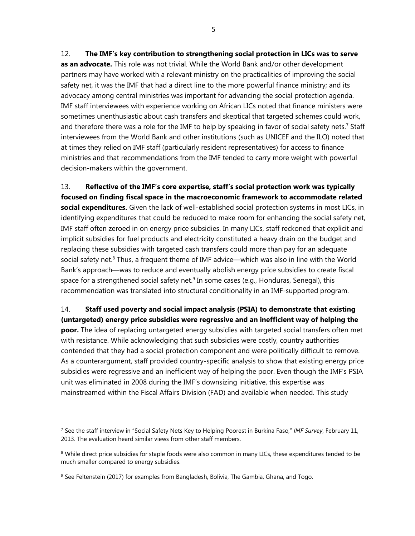12. **The IMF's key contribution to strengthening social protection in LICs was to serve as an advocate.** This role was not trivial. While the World Bank and/or other development partners may have worked with a relevant ministry on the practicalities of improving the social safety net, it was the IMF that had a direct line to the more powerful finance ministry; and its advocacy among central ministries was important for advancing the social protection agenda. IMF staff interviewees with experience working on African LICs noted that finance ministers were sometimes unenthusiastic about cash transfers and skeptical that targeted schemes could work, and therefore there was a role for the IMF to help by speaking in favor of social safety nets.<sup>7</sup> Staff interviewees from the World Bank and other institutions (such as UNICEF and the ILO) noted that at times they relied on IMF staff (particularly resident representatives) for access to finance

ministries and that recommendations from the IMF tended to carry more weight with powerful decision-makers within the government.

13. **Reflective of the IMF's core expertise, staff's social protection work was typically focused on finding fiscal space in the macroeconomic framework to accommodate related social expenditures.** Given the lack of well-established social protection systems in most LICs, in identifying expenditures that could be reduced to make room for enhancing the social safety net, IMF staff often zeroed in on energy price subsidies. In many LICs, staff reckoned that explicit and implicit subsidies for fuel products and electricity constituted a heavy drain on the budget and replacing these subsidies with targeted cash transfers could more than pay for an adequate social safety net.<sup>8</sup> Thus, a frequent theme of IMF advice—which was also in line with the World Bank's approach—was to reduce and eventually abolish energy price subsidies to create fiscal space for a strengthened social safety net.<sup>9</sup> In some cases (e.g., Honduras, Senegal), this recommendation was translated into structural conditionality in an IMF-supported program.

14. **Staff used poverty and social impact analysis (PSIA) to demonstrate that existing (untargeted) energy price subsidies were regressive and an inefficient way of helping the poor.** The idea of replacing untargeted energy subsidies with targeted social transfers often met with resistance. While acknowledging that such subsidies were costly, country authorities contended that they had a social protection component and were politically difficult to remove. As a counterargument, staff provided country-specific analysis to show that existing energy price subsidies were regressive and an inefficient way of helping the poor. Even though the IMF's PSIA unit was eliminated in 2008 during the IMF's downsizing initiative, this expertise was mainstreamed within the Fiscal Affairs Division (FAD) and available when needed. This study

<sup>7</sup> See the staff interview in "Social Safety Nets Key to Helping Poorest in Burkina Faso," *IMF Survey*, February 11, 2013. The evaluation heard similar views from other staff members.

<sup>&</sup>lt;sup>8</sup> While direct price subsidies for staple foods were also common in many LICs, these expenditures tended to be much smaller compared to energy subsidies.

<sup>&</sup>lt;sup>9</sup> See Feltenstein (2017) for examples from Bangladesh, Bolivia, The Gambia, Ghana, and Togo.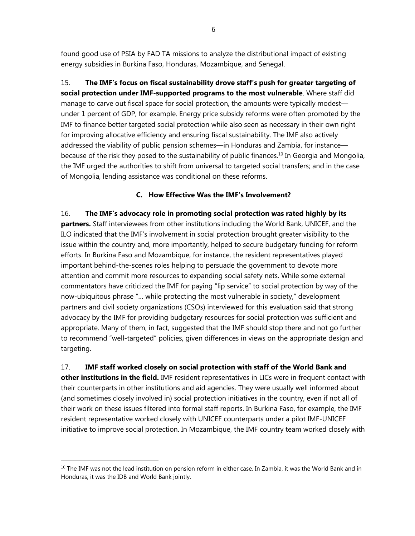found good use of PSIA by FAD TA missions to analyze the distributional impact of existing energy subsidies in Burkina Faso, Honduras, Mozambique, and Senegal.

15. **The IMF's focus on fiscal sustainability drove staff's push for greater targeting of social protection under IMF-supported programs to the most vulnerable**. Where staff did manage to carve out fiscal space for social protection, the amounts were typically modest under 1 percent of GDP, for example. Energy price subsidy reforms were often promoted by the IMF to finance better targeted social protection while also seen as necessary in their own right for improving allocative efficiency and ensuring fiscal sustainability. The IMF also actively addressed the viability of public pension schemes—in Honduras and Zambia, for instance because of the risk they posed to the sustainability of public finances.<sup>10</sup> In Georgia and Mongolia, the IMF urged the authorities to shift from universal to targeted social transfers; and in the case of Mongolia, lending assistance was conditional on these reforms.

# **C. How Effective Was the IMF's Involvement?**

16. **The IMF's advocacy role in promoting social protection was rated highly by its partners.** Staff interviewees from other institutions including the World Bank, UNICEF, and the ILO indicated that the IMF's involvement in social protection brought greater visibility to the issue within the country and, more importantly, helped to secure budgetary funding for reform efforts. In Burkina Faso and Mozambique, for instance, the resident representatives played important behind-the-scenes roles helping to persuade the government to devote more attention and commit more resources to expanding social safety nets. While some external commentators have criticized the IMF for paying "lip service" to social protection by way of the now-ubiquitous phrase "… while protecting the most vulnerable in society," development partners and civil society organizations (CSOs) interviewed for this evaluation said that strong advocacy by the IMF for providing budgetary resources for social protection was sufficient and appropriate. Many of them, in fact, suggested that the IMF should stop there and not go further to recommend "well-targeted" policies, given differences in views on the appropriate design and targeting.

17. **IMF staff worked closely on social protection with staff of the World Bank and other institutions in the field.** IMF resident representatives in LICs were in frequent contact with

their counterparts in other institutions and aid agencies. They were usually well informed about (and sometimes closely involved in) social protection initiatives in the country, even if not all of their work on these issues filtered into formal staff reports. In Burkina Faso, for example, the IMF resident representative worked closely with UNICEF counterparts under a pilot IMF-UNICEF initiative to improve social protection. In Mozambique, the IMF country team worked closely with

 $10$  The IMF was not the lead institution on pension reform in either case. In Zambia, it was the World Bank and in Honduras, it was the IDB and World Bank jointly.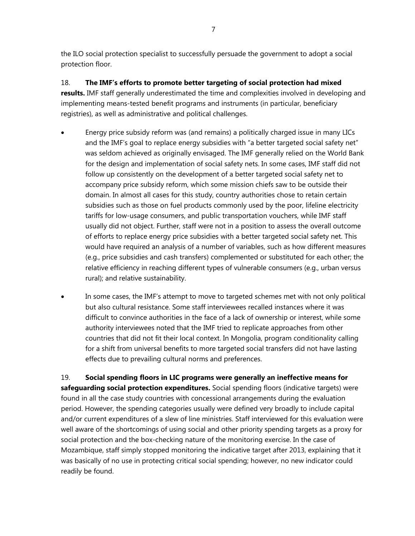the ILO social protection specialist to successfully persuade the government to adopt a social protection floor.

18. **The IMF's efforts to promote better targeting of social protection had mixed results.** IMF staff generally underestimated the time and complexities involved in developing and implementing means-tested benefit programs and instruments (in particular, beneficiary registries), as well as administrative and political challenges.

- Energy price subsidy reform was (and remains) a politically charged issue in many LICs and the IMF's goal to replace energy subsidies with "a better targeted social safety net" was seldom achieved as originally envisaged. The IMF generally relied on the World Bank for the design and implementation of social safety nets. In some cases, IMF staff did not follow up consistently on the development of a better targeted social safety net to accompany price subsidy reform, which some mission chiefs saw to be outside their domain. In almost all cases for this study, country authorities chose to retain certain subsidies such as those on fuel products commonly used by the poor, lifeline electricity tariffs for low-usage consumers, and public transportation vouchers, while IMF staff usually did not object. Further, staff were not in a position to assess the overall outcome of efforts to replace energy price subsidies with a better targeted social safety net. This would have required an analysis of a number of variables, such as how different measures (e.g., price subsidies and cash transfers) complemented or substituted for each other; the relative efficiency in reaching different types of vulnerable consumers (e.g., urban versus rural); and relative sustainability.
- In some cases, the IMF's attempt to move to targeted schemes met with not only political but also cultural resistance. Some staff interviewees recalled instances where it was difficult to convince authorities in the face of a lack of ownership or interest, while some authority interviewees noted that the IMF tried to replicate approaches from other countries that did not fit their local context. In Mongolia, program conditionality calling for a shift from universal benefits to more targeted social transfers did not have lasting effects due to prevailing cultural norms and preferences.

19. **Social spending floors in LIC programs were generally an ineffective means for safeguarding social protection expenditures.** Social spending floors (indicative targets) were found in all the case study countries with concessional arrangements during the evaluation period. However, the spending categories usually were defined very broadly to include capital and/or current expenditures of a slew of line ministries. Staff interviewed for this evaluation were well aware of the shortcomings of using social and other priority spending targets as a proxy for social protection and the box-checking nature of the monitoring exercise. In the case of Mozambique, staff simply stopped monitoring the indicative target after 2013, explaining that it was basically of no use in protecting critical social spending; however, no new indicator could readily be found.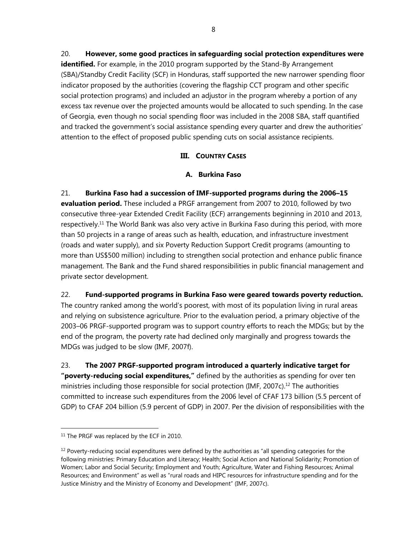20. **However, some good practices in safeguarding social protection expenditures were identified.** For example, in the 2010 program supported by the Stand-By Arrangement (SBA)/Standby Credit Facility (SCF) in Honduras, staff supported the new narrower spending floor indicator proposed by the authorities (covering the flagship CCT program and other specific social protection programs) and included an adjustor in the program whereby a portion of any excess tax revenue over the projected amounts would be allocated to such spending. In the case of Georgia, even though no social spending floor was included in the 2008 SBA, staff quantified and tracked the government's social assistance spending every quarter and drew the authorities' attention to the effect of proposed public spending cuts on social assistance recipients.

# **III. COUNTRY CASES**

## **A. Burkina Faso**

21. **Burkina Faso had a succession of IMF-supported programs during the 2006–15 evaluation period.** These included a PRGF arrangement from 2007 to 2010, followed by two consecutive three-year Extended Credit Facility (ECF) arrangements beginning in 2010 and 2013, respectively.<sup>11</sup> The World Bank was also very active in Burkina Faso during this period, with more than 50 projects in a range of areas such as health, education, and infrastructure investment (roads and water supply), and six Poverty Reduction Support Credit programs (amounting to more than US\$500 million) including to strengthen social protection and enhance public finance management. The Bank and the Fund shared responsibilities in public financial management and private sector development.

22. **Fund-supported programs in Burkina Faso were geared towards poverty reduction.** 

The country ranked among the world's poorest, with most of its population living in rural areas and relying on subsistence agriculture. Prior to the evaluation period, a primary objective of the 2003–06 PRGF-supported program was to support country efforts to reach the MDGs; but by the end of the program, the poverty rate had declined only marginally and progress towards the MDGs was judged to be slow (IMF, 2007f).

23. **The 2007 PRGF-supported program introduced a quarterly indicative target for "poverty-reducing social expenditures,"** defined by the authorities as spending for over ten ministries including those responsible for social protection (IMF, 2007c).<sup>12</sup> The authorities committed to increase such expenditures from the 2006 level of CFAF 173 billion (5.5 percent of GDP) to CFAF 204 billion (5.9 percent of GDP) in 2007. Per the division of responsibilities with the

<sup>&</sup>lt;sup>11</sup> The PRGF was replaced by the ECF in 2010.

 $12$  Poverty-reducing social expenditures were defined by the authorities as "all spending categories for the following ministries: Primary Education and Literacy; Health; Social Action and National Solidarity; Promotion of Women; Labor and Social Security; Employment and Youth; Agriculture, Water and Fishing Resources; Animal Resources; and Environment" as well as "rural roads and HIPC resources for infrastructure spending and for the Justice Ministry and the Ministry of Economy and Development" (IMF, 2007c).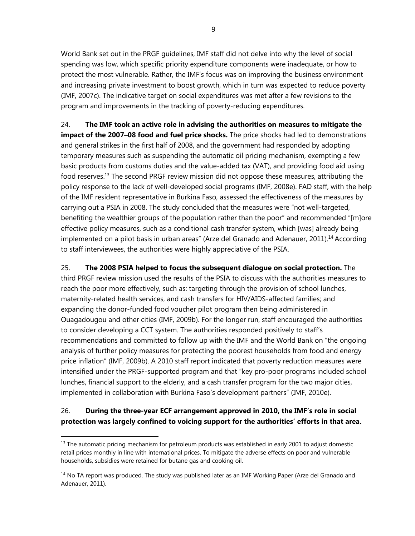World Bank set out in the PRGF guidelines, IMF staff did not delve into why the level of social spending was low, which specific priority expenditure components were inadequate, or how to protect the most vulnerable. Rather, the IMF's focus was on improving the business environment and increasing private investment to boost growth, which in turn was expected to reduce poverty (IMF, 2007c). The indicative target on social expenditures was met after a few revisions to the program and improvements in the tracking of poverty-reducing expenditures.

24. **The IMF took an active role in advising the authorities on measures to mitigate the impact of the 2007–08 food and fuel price shocks.** The price shocks had led to demonstrations and general strikes in the first half of 2008, and the government had responded by adopting temporary measures such as suspending the automatic oil pricing mechanism, exempting a few basic products from customs duties and the value-added tax (VAT), and providing food aid using food reserves.<sup>13</sup> The second PRGF review mission did not oppose these measures, attributing the policy response to the lack of well-developed social programs (IMF, 2008e). FAD staff, with the help of the IMF resident representative in Burkina Faso, assessed the effectiveness of the measures by carrying out a PSIA in 2008. The study concluded that the measures were "not well-targeted, benefiting the wealthier groups of the population rather than the poor" and recommended "[m]ore effective policy measures, such as a conditional cash transfer system, which [was] already being implemented on a pilot basis in urban areas" (Arze del Granado and Adenauer, 2011).14 According to staff interviewees, the authorities were highly appreciative of the PSIA.

25. **The 2008 PSIA helped to focus the subsequent dialogue on social protection.** The third PRGF review mission used the results of the PSIA to discuss with the authorities measures to reach the poor more effectively, such as: targeting through the provision of school lunches, maternity-related health services, and cash transfers for HIV/AIDS-affected families; and expanding the donor-funded food voucher pilot program then being administered in Ouagadougou and other cities (IMF, 2009b). For the longer run, staff encouraged the authorities to consider developing a CCT system. The authorities responded positively to staff's recommendations and committed to follow up with the IMF and the World Bank on "the ongoing analysis of further policy measures for protecting the poorest households from food and energy price inflation" (IMF, 2009b). A 2010 staff report indicated that poverty reduction measures were intensified under the PRGF-supported program and that "key pro-poor programs included school lunches, financial support to the elderly, and a cash transfer program for the two major cities, implemented in collaboration with Burkina Faso's development partners" (IMF, 2010e).

# 26. **During the three-year ECF arrangement approved in 2010, the IMF's role in social protection was largely confined to voicing support for the authorities' efforts in that area.**

 $<sup>13</sup>$  The automatic pricing mechanism for petroleum products was established in early 2001 to adjust domestic</sup> retail prices monthly in line with international prices. To mitigate the adverse effects on poor and vulnerable households, subsidies were retained for butane gas and cooking oil.

<sup>&</sup>lt;sup>14</sup> No TA report was produced. The study was published later as an IMF Working Paper (Arze del Granado and Adenauer, 2011).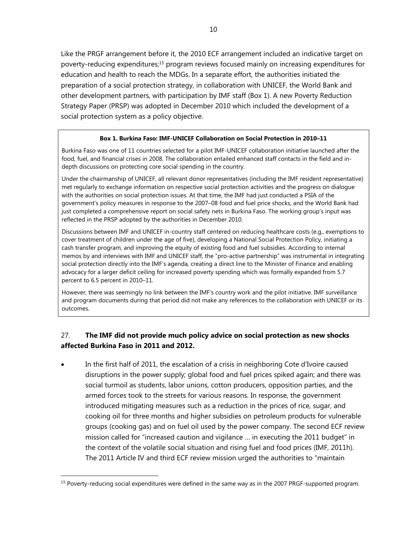Like the PRGF arrangement before it, the 2010 ECF arrangement included an indicative target on poverty-reducing expenditures;<sup>15</sup> program reviews focused mainly on increasing expenditures for education and health to reach the MDGs. In a separate effort, the authorities initiated the preparation of a social protection strategy, in collaboration with UNICEF, the World Bank and other development partners, with participation by IMF staff (Box 1). A new Poverty Reduction Strategy Paper (PRSP) was adopted in December 2010 which included the development of a social protection system as a policy objective.

### **Box 1. Burkina Faso: IMF-UNICEF Collaboration on Social Protection in 2010–11**

Burkina Faso was one of 11 countries selected for a pilot IMF-UNICEF collaboration initiative launched after the food, fuel, and financial crises in 2008. The collaboration entailed enhanced staff contacts in the field and indepth discussions on protecting core social spending in the country.

Under the chairmanship of UNICEF, all relevant donor representatives (including the IMF resident representative) met regularly to exchange information on respective social protection activities and the progress on dialogue with the authorities on social protection issues. At that time, the IMF had just conducted a PSIA of the government's policy measures in response to the 2007–08 food and fuel price shocks, and the World Bank had just completed a comprehensive report on social safety nets in Burkina Faso. The working group's input was reflected in the PRSP adopted by the authorities in December 2010.

Discussions between IMF and UNICEF in-country staff centered on reducing healthcare costs (e.g., exemptions to cover treatment of children under the age of five), developing a National Social Protection Policy, initiating a cash transfer program, and improving the equity of existing food and fuel subsidies. According to internal memos by and interviews with IMF and UNICEF staff, the "pro-active partnership" was instrumental in integrating social protection directly into the IMF's agenda, creating a direct line to the Minister of Finance and enabling advocacy for a larger deficit ceiling for increased poverty spending which was formally expanded from 5.7 percent to 6.5 percent in 2010–11.

However, there was seemingly no link between the IMF's country work and the pilot initiative. IMF surveillance and program documents during that period did not make any references to the collaboration with UNICEF or its outcomes.

# 27. **The IMF did not provide much policy advice on social protection as new shocks affected Burkina Faso in 2011 and 2012.**

 In the first half of 2011, the escalation of a crisis in neighboring Cote d'Ivoire caused disruptions in the power supply; global food and fuel prices spiked again; and there was social turmoil as students, labor unions, cotton producers, opposition parties, and the armed forces took to the streets for various reasons. In response, the government introduced mitigating measures such as a reduction in the prices of rice, sugar, and cooking oil for three months and higher subsidies on petroleum products for vulnerable groups (cooking gas) and on fuel oil used by the power company. The second ECF review mission called for "increased caution and vigilance … in executing the 2011 budget" in the context of the volatile social situation and rising fuel and food prices (IMF, 2011h). The 2011 Article IV and third ECF review mission urged the authorities to "maintain

<sup>&</sup>lt;sup>15</sup> Poverty-reducing social expenditures were defined in the same way as in the 2007 PRGF-supported program.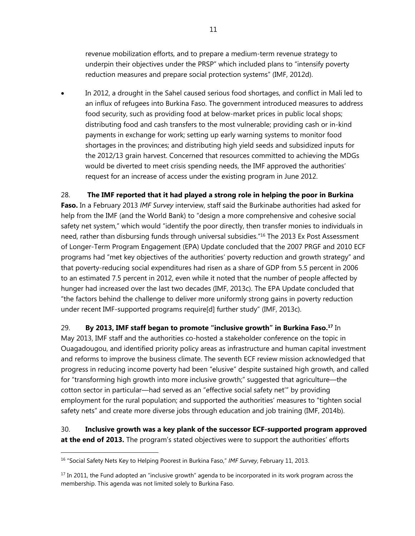revenue mobilization efforts, and to prepare a medium-term revenue strategy to underpin their objectives under the PRSP" which included plans to "intensify poverty reduction measures and prepare social protection systems" (IMF, 2012d).

 In 2012, a drought in the Sahel caused serious food shortages, and conflict in Mali led to an influx of refugees into Burkina Faso. The government introduced measures to address food security, such as providing food at below-market prices in public local shops; distributing food and cash transfers to the most vulnerable; providing cash or in-kind payments in exchange for work; setting up early warning systems to monitor food shortages in the provinces; and distributing high yield seeds and subsidized inputs for the 2012/13 grain harvest. Concerned that resources committed to achieving the MDGs would be diverted to meet crisis spending needs, the IMF approved the authorities' request for an increase of access under the existing program in June 2012.

### 28. **The IMF reported that it had played a strong role in helping the poor in Burkina**

**Faso.** In a February 2013 *IMF Survey* interview, staff said the Burkinabe authorities had asked for help from the IMF (and the World Bank) to "design a more comprehensive and cohesive social safety net system," which would "identify the poor directly, then transfer monies to individuals in need, rather than disbursing funds through universal subsidies."<sup>16</sup> The 2013 Ex Post Assessment of Longer-Term Program Engagement (EPA) Update concluded that the 2007 PRGF and 2010 ECF programs had "met key objectives of the authorities' poverty reduction and growth strategy" and that poverty-reducing social expenditures had risen as a share of GDP from 5.5 percent in 2006 to an estimated 7.5 percent in 2012, even while it noted that the number of people affected by hunger had increased over the last two decades (IMF, 2013c). The EPA Update concluded that "the factors behind the challenge to deliver more uniformly strong gains in poverty reduction under recent IMF-supported programs require[d] further study" (IMF, 2013c).

29. **By 2013, IMF staff began to promote "inclusive growth" in Burkina Faso.17** In May 2013, IMF staff and the authorities co-hosted a stakeholder conference on the topic in Ouagadougou, and identified priority policy areas as infrastructure and human capital investment and reforms to improve the business climate. The seventh ECF review mission acknowledged that progress in reducing income poverty had been "elusive" despite sustained high growth, and called for "transforming high growth into more inclusive growth;" suggested that agriculture—the cotton sector in particular—had served as an "effective social safety net'" by providing employment for the rural population; and supported the authorities' measures to "tighten social safety nets" and create more diverse jobs through education and job training (IMF, 2014b).

30. **Inclusive growth was a key plank of the successor ECF-supported program approved at the end of 2013.** The program's stated objectives were to support the authorities' efforts

<sup>16 &</sup>quot;Social Safety Nets Key to Helping Poorest in Burkina Faso," *IMF Survey*, February 11, 2013.

 $17$  In 2011, the Fund adopted an "inclusive growth" agenda to be incorporated in its work program across the membership. This agenda was not limited solely to Burkina Faso.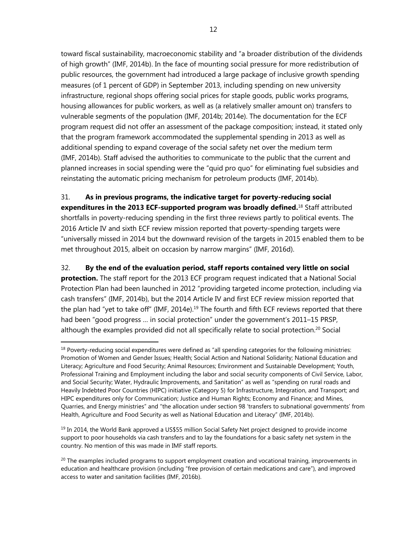toward fiscal sustainability, macroeconomic stability and "a broader distribution of the dividends of high growth" (IMF, 2014b). In the face of mounting social pressure for more redistribution of public resources, the government had introduced a large package of inclusive growth spending measures (of 1 percent of GDP) in September 2013, including spending on new university infrastructure, regional shops offering social prices for staple goods, public works programs, housing allowances for public workers, as well as (a relatively smaller amount on) transfers to vulnerable segments of the population (IMF, 2014b; 2014e). The documentation for the ECF program request did not offer an assessment of the package composition; instead, it stated only that the program framework accommodated the supplemental spending in 2013 as well as additional spending to expand coverage of the social safety net over the medium term (IMF, 2014b). Staff advised the authorities to communicate to the public that the current and planned increases in social spending were the "quid pro quo" for eliminating fuel subsidies and reinstating the automatic pricing mechanism for petroleum products (IMF, 2014b).

31. **As in previous programs, the indicative target for poverty-reducing social expenditures in the 2013 ECF-supported program was broadly defined.**18 Staff attributed shortfalls in poverty-reducing spending in the first three reviews partly to political events. The 2016 Article IV and sixth ECF review mission reported that poverty-spending targets were "universally missed in 2014 but the downward revision of the targets in 2015 enabled them to be met throughout 2015, albeit on occasion by narrow margins" (IMF, 2016d).

32. **By the end of the evaluation period, staff reports contained very little on social protection.** The staff report for the 2013 ECF program request indicated that a National Social Protection Plan had been launched in 2012 "providing targeted income protection, including via cash transfers" (IMF, 2014b), but the 2014 Article IV and first ECF review mission reported that the plan had "yet to take off" (IMF, 2014e).<sup>19</sup> The fourth and fifth ECF reviews reported that there had been "good progress … in social protection" under the government's 2011–15 PRSP, although the examples provided did not all specifically relate to social protection.<sup>20</sup> Social

1

 $19$  In 2014, the World Bank approved a US\$55 million Social Safety Net project designed to provide income support to poor households via cash transfers and to lay the foundations for a basic safety net system in the country. No mention of this was made in IMF staff reports.

<sup>&</sup>lt;sup>18</sup> Poverty-reducing social expenditures were defined as "all spending categories for the following ministries: Promotion of Women and Gender Issues; Health; Social Action and National Solidarity; National Education and Literacy; Agriculture and Food Security; Animal Resources; Environment and Sustainable Development; Youth, Professional Training and Employment including the labor and social security components of Civil Service, Labor, and Social Security; Water, Hydraulic Improvements, and Sanitation" as well as "spending on rural roads and Heavily Indebted Poor Countries (HIPC) initiative (Category 5) for Infrastructure, Integration, and Transport; and HIPC expenditures only for Communication; Justice and Human Rights; Economy and Finance; and Mines, Quarries, and Energy ministries" and "the allocation under section 98 'transfers to subnational governments' from Health, Agriculture and Food Security as well as National Education and Literacy" (IMF, 2014b).

 $20$  The examples included programs to support employment creation and vocational training, improvements in education and healthcare provision (including "free provision of certain medications and care"), and improved access to water and sanitation facilities (IMF, 2016b).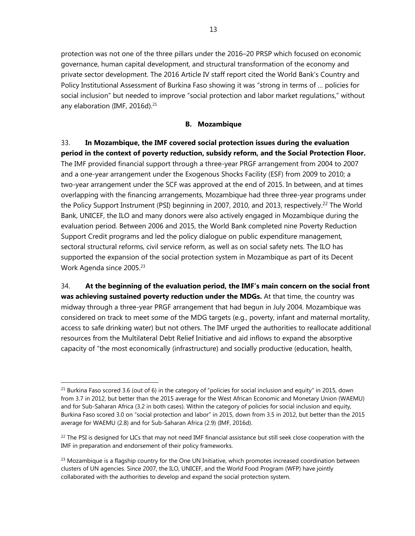protection was not one of the three pillars under the 2016–20 PRSP which focused on economic governance, human capital development, and structural transformation of the economy and private sector development. The 2016 Article IV staff report cited the World Bank's Country and Policy Institutional Assessment of Burkina Faso showing it was "strong in terms of … policies for social inclusion" but needed to improve "social protection and labor market regulations," without any elaboration (IMF, 2016d).<sup>21</sup>

### **B. Mozambique**

33. **In Mozambique, the IMF covered social protection issues during the evaluation period in the context of poverty reduction, subsidy reform, and the Social Protection Floor.**  The IMF provided financial support through a three-year PRGF arrangement from 2004 to 2007 and a one-year arrangement under the Exogenous Shocks Facility (ESF) from 2009 to 2010; a two-year arrangement under the SCF was approved at the end of 2015. In between, and at times overlapping with the financing arrangements, Mozambique had three three-year programs under the Policy Support Instrument (PSI) beginning in 2007, 2010, and 2013, respectively.<sup>22</sup> The World Bank, UNICEF, the ILO and many donors were also actively engaged in Mozambique during the evaluation period. Between 2006 and 2015, the World Bank completed nine Poverty Reduction Support Credit programs and led the policy dialogue on public expenditure management, sectoral structural reforms, civil service reform, as well as on social safety nets. The ILO has supported the expansion of the social protection system in Mozambique as part of its Decent Work Agenda since 2005.<sup>23</sup>

34. **At the beginning of the evaluation period, the IMF's main concern on the social front was achieving sustained poverty reduction under the MDGs.** At that time, the country was midway through a three-year PRGF arrangement that had begun in July 2004. Mozambique was considered on track to meet some of the MDG targets (e.g., poverty, infant and maternal mortality, access to safe drinking water) but not others. The IMF urged the authorities to reallocate additional resources from the Multilateral Debt Relief Initiative and aid inflows to expand the absorptive capacity of "the most economically (infrastructure) and socially productive (education, health,

 $^{21}$  Burkina Faso scored 3.6 (out of 6) in the category of "policies for social inclusion and equity" in 2015, down from 3.7 in 2012, but better than the 2015 average for the West African Economic and Monetary Union (WAEMU) and for Sub-Saharan Africa (3.2 in both cases). Within the category of policies for social inclusion and equity, Burkina Faso scored 3.0 on "social protection and labor" in 2015, down from 3.5 in 2012, but better than the 2015 average for WAEMU (2.8) and for Sub-Saharan Africa (2.9) (IMF, 2016d).

 $^{22}$  The PSI is designed for LICs that may not need IMF financial assistance but still seek close cooperation with the IMF in preparation and endorsement of their policy frameworks.

 $23$  Mozambique is a flagship country for the One UN Initiative, which promotes increased coordination between clusters of UN agencies. Since 2007, the ILO, UNICEF, and the World Food Program (WFP) have jointly collaborated with the authorities to develop and expand the social protection system.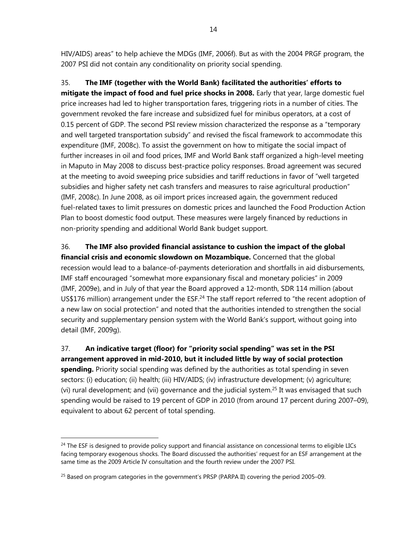HIV/AIDS) areas" to help achieve the MDGs (IMF, 2006f). But as with the 2004 PRGF program, the 2007 PSI did not contain any conditionality on priority social spending.

35. **The IMF (together with the World Bank) facilitated the authorities' efforts to mitigate the impact of food and fuel price shocks in 2008.** Early that year, large domestic fuel price increases had led to higher transportation fares, triggering riots in a number of cities. The government revoked the fare increase and subsidized fuel for minibus operators, at a cost of 0.15 percent of GDP. The second PSI review mission characterized the response as a "temporary and well targeted transportation subsidy" and revised the fiscal framework to accommodate this expenditure (IMF, 2008c). To assist the government on how to mitigate the social impact of further increases in oil and food prices, IMF and World Bank staff organized a high-level meeting in Maputo in May 2008 to discuss best-practice policy responses. Broad agreement was secured at the meeting to avoid sweeping price subsidies and tariff reductions in favor of "well targeted subsidies and higher safety net cash transfers and measures to raise agricultural production" (IMF, 2008c). In June 2008, as oil import prices increased again, the government reduced fuel-related taxes to limit pressures on domestic prices and launched the Food Production Action Plan to boost domestic food output. These measures were largely financed by reductions in non-priority spending and additional World Bank budget support.

36. **The IMF also provided financial assistance to cushion the impact of the global financial crisis and economic slowdown on Mozambique.** Concerned that the global recession would lead to a balance-of-payments deterioration and shortfalls in aid disbursements, IMF staff encouraged "somewhat more expansionary fiscal and monetary policies" in 2009 (IMF, 2009e), and in July of that year the Board approved a 12-month, SDR 114 million (about US\$176 million) arrangement under the  $ESF<sup>24</sup>$  The staff report referred to "the recent adoption of a new law on social protection" and noted that the authorities intended to strengthen the social security and supplementary pension system with the World Bank's support, without going into detail (IMF, 2009g).

37. **An indicative target (floor) for "priority social spending" was set in the PSI arrangement approved in mid-2010, but it included little by way of social protection spending.** Priority social spending was defined by the authorities as total spending in seven sectors: (i) education; (ii) health; (iii) HIV/AIDS; (iv) infrastructure development; (v) agriculture; (vi) rural development; and (vii) governance and the judicial system.<sup>25</sup> It was envisaged that such spending would be raised to 19 percent of GDP in 2010 (from around 17 percent during 2007–09), equivalent to about 62 percent of total spending.

<sup>&</sup>lt;sup>24</sup> The ESF is designed to provide policy support and financial assistance on concessional terms to eligible LICs facing temporary exogenous shocks. The Board discussed the authorities' request for an ESF arrangement at the same time as the 2009 Article IV consultation and the fourth review under the 2007 PSI.

<sup>&</sup>lt;sup>25</sup> Based on program categories in the government's PRSP (PARPA II) covering the period 2005–09.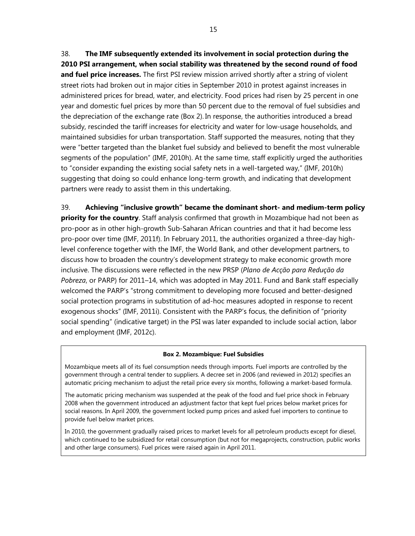38. **The IMF subsequently extended its involvement in social protection during the 2010 PSI arrangement, when social stability was threatened by the second round of food and fuel price increases.** The first PSI review mission arrived shortly after a string of violent street riots had broken out in major cities in September 2010 in protest against increases in administered prices for bread, water, and electricity. Food prices had risen by 25 percent in one year and domestic fuel prices by more than 50 percent due to the removal of fuel subsidies and the depreciation of the exchange rate (Box 2). In response, the authorities introduced a bread subsidy, rescinded the tariff increases for electricity and water for low-usage households, and maintained subsidies for urban transportation. Staff supported the measures, noting that they were "better targeted than the blanket fuel subsidy and believed to benefit the most vulnerable segments of the population" (IMF, 2010h). At the same time, staff explicitly urged the authorities to "consider expanding the existing social safety nets in a well-targeted way," (IMF, 2010h) suggesting that doing so could enhance long-term growth, and indicating that development partners were ready to assist them in this undertaking.

39. **Achieving "inclusive growth" became the dominant short- and medium-term policy priority for the country**. Staff analysis confirmed that growth in Mozambique had not been as pro-poor as in other high-growth Sub-Saharan African countries and that it had become less pro-poor over time (IMF, 2011f). In February 2011, the authorities organized a three-day highlevel conference together with the IMF, the World Bank, and other development partners, to discuss how to broaden the country's development strategy to make economic growth more inclusive. The discussions were reflected in the new PRSP (*Plano de Acção para Redução da Pobreza*, or PARP) for 2011–14, which was adopted in May 2011. Fund and Bank staff especially welcomed the PARP's "strong commitment to developing more focused and better-designed social protection programs in substitution of ad-hoc measures adopted in response to recent exogenous shocks" (IMF, 2011i). Consistent with the PARP's focus, the definition of "priority social spending" (indicative target) in the PSI was later expanded to include social action, labor and employment (IMF, 2012c).

#### **Box 2. Mozambique: Fuel Subsidies**

Mozambique meets all of its fuel consumption needs through imports. Fuel imports are controlled by the government through a central tender to suppliers. A decree set in 2006 (and reviewed in 2012) specifies an automatic pricing mechanism to adjust the retail price every six months, following a market-based formula.

The automatic pricing mechanism was suspended at the peak of the food and fuel price shock in February 2008 when the government introduced an adjustment factor that kept fuel prices below market prices for social reasons. In April 2009, the government locked pump prices and asked fuel importers to continue to provide fuel below market prices.

In 2010, the government gradually raised prices to market levels for all petroleum products except for diesel, which continued to be subsidized for retail consumption (but not for megaprojects, construction, public works and other large consumers). Fuel prices were raised again in April 2011.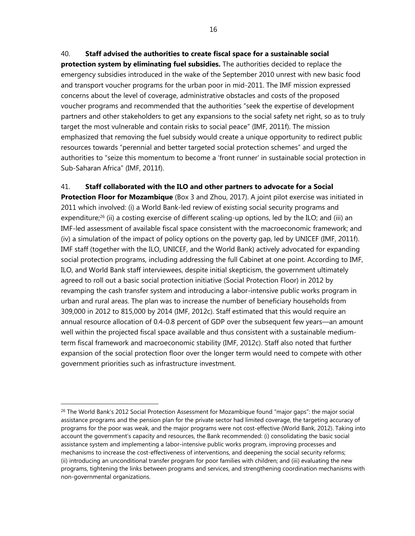# 40. **Staff advised the authorities to create fiscal space for a sustainable social**

**protection system by eliminating fuel subsidies.** The authorities decided to replace the emergency subsidies introduced in the wake of the September 2010 unrest with new basic food and transport voucher programs for the urban poor in mid-2011. The IMF mission expressed concerns about the level of coverage, administrative obstacles and costs of the proposed voucher programs and recommended that the authorities "seek the expertise of development partners and other stakeholders to get any expansions to the social safety net right, so as to truly target the most vulnerable and contain risks to social peace" (IMF, 2011f). The mission emphasized that removing the fuel subsidy would create a unique opportunity to redirect public resources towards "perennial and better targeted social protection schemes" and urged the authorities to "seize this momentum to become a 'front runner' in sustainable social protection in Sub-Saharan Africa" (IMF, 2011f).

## 41. **Staff collaborated with the ILO and other partners to advocate for a Social**

**Protection Floor for Mozambique** (Box 3 and Zhou, 2017). A joint pilot exercise was initiated in 2011 which involved: (i) a World Bank-led review of existing social security programs and expenditure;<sup>26</sup> (ii) a costing exercise of different scaling-up options, led by the ILO; and (iii) an IMF-led assessment of available fiscal space consistent with the macroeconomic framework; and (iv) a simulation of the impact of policy options on the poverty gap, led by UNICEF (IMF, 2011f). IMF staff (together with the ILO, UNICEF, and the World Bank) actively advocated for expanding social protection programs, including addressing the full Cabinet at one point. According to IMF, ILO, and World Bank staff interviewees, despite initial skepticism, the government ultimately agreed to roll out a basic social protection initiative (Social Protection Floor) in 2012 by revamping the cash transfer system and introducing a labor-intensive public works program in urban and rural areas. The plan was to increase the number of beneficiary households from 309,000 in 2012 to 815,000 by 2014 (IMF, 2012c). Staff estimated that this would require an annual resource allocation of 0.4-0.8 percent of GDP over the subsequent few years—an amount well within the projected fiscal space available and thus consistent with a sustainable mediumterm fiscal framework and macroeconomic stability (IMF, 2012c). Staff also noted that further expansion of the social protection floor over the longer term would need to compete with other government priorities such as infrastructure investment.

1

<sup>&</sup>lt;sup>26</sup> The World Bank's 2012 Social Protection Assessment for Mozambique found "major gaps": the major social assistance programs and the pension plan for the private sector had limited coverage, the targeting accuracy of programs for the poor was weak, and the major programs were not cost-effective (World Bank, 2012). Taking into account the government's capacity and resources, the Bank recommended: (i) consolidating the basic social assistance system and implementing a labor-intensive public works program, improving processes and mechanisms to increase the cost-effectiveness of interventions, and deepening the social security reforms; (ii) introducing an unconditional transfer program for poor families with children; and (iii) evaluating the new programs, tightening the links between programs and services, and strengthening coordination mechanisms with non-governmental organizations.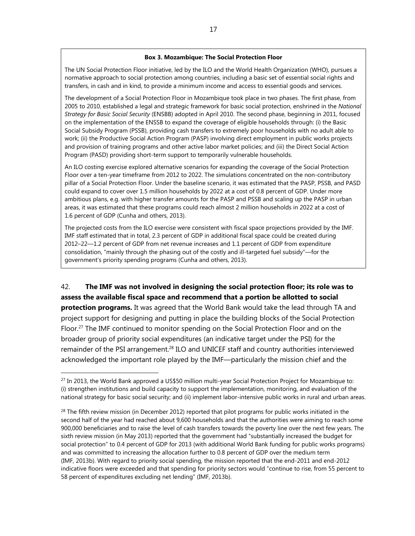#### **Box 3. Mozambique: The Social Protection Floor**

The UN Social Protection Floor initiative, led by the ILO and the World Health Organization (WHO), pursues a normative approach to social protection among countries, including a basic set of essential social rights and transfers, in cash and in kind, to provide a minimum income and access to essential goods and services.

The development of a Social Protection Floor in Mozambique took place in two phases. The first phase, from 2005 to 2010, established a legal and strategic framework for basic social protection, enshrined in the *National Strategy for Basic Social Security* (ENSBB) adopted in April 2010. The second phase, beginning in 2011, focused on the implementation of the ENSSB to expand the coverage of eligible households through: (i) the Basic Social Subsidy Program (PSSB), providing cash transfers to extremely poor households with no adult able to work; (ii) the Productive Social Action Program (PASP) involving direct employment in public works projects and provision of training programs and other active labor market policies; and (iii) the Direct Social Action Program (PASD) providing short-term support to temporarily vulnerable households.

An ILO costing exercise explored alternative scenarios for expanding the coverage of the Social Protection Floor over a ten-year timeframe from 2012 to 2022. The simulations concentrated on the non-contributory pillar of a Social Protection Floor. Under the baseline scenario, it was estimated that the PASP, PSSB, and PASD could expand to cover over 1.5 million households by 2022 at a cost of 0.8 percent of GDP. Under more ambitious plans, e.g. with higher transfer amounts for the PASP and PSSB and scaling up the PASP in urban areas, it was estimated that these programs could reach almost 2 million households in 2022 at a cost of 1.6 percent of GDP (Cunha and others, 2013).

The projected costs from the ILO exercise were consistent with fiscal space projections provided by the IMF. IMF staff estimated that in total, 2.3 percent of GDP in additional fiscal space could be created during 2012–22—1.2 percent of GDP from net revenue increases and 1.1 percent of GDP from expenditure consolidation, "mainly through the phasing out of the costly and ill-targeted fuel subsidy"—for the government's priority spending programs (Cunha and others, 2013).

42. **The IMF was not involved in designing the social protection floor; its role was to assess the available fiscal space and recommend that a portion be allotted to social protection programs.** It was agreed that the World Bank would take the lead through TA and project support for designing and putting in place the building blocks of the Social Protection Floor.27 The IMF continued to monitor spending on the Social Protection Floor and on the broader group of priority social expenditures (an indicative target under the PSI) for the remainder of the PSI arrangement.28 ILO and UNICEF staff and country authorities interviewed acknowledged the important role played by the IMF—particularly the mission chief and the

<sup>&</sup>lt;sup>27</sup> In 2013, the World Bank approved a US\$50 million multi-year Social Protection Project for Mozambique to: (i) strengthen institutions and build capacity to support the implementation, monitoring, and evaluation of the national strategy for basic social security; and (ii) implement labor-intensive public works in rural and urban areas.

 $28$  The fifth review mission (in December 2012) reported that pilot programs for public works initiated in the second half of the year had reached about 9,600 households and that the authorities were aiming to reach some 900,000 beneficiaries and to raise the level of cash transfers towards the poverty line over the next few years. The sixth review mission (in May 2013) reported that the government had "substantially increased the budget for social protection" to 0.4 percent of GDP for 2013 (with additional World Bank funding for public works programs) and was committed to increasing the allocation further to 0.8 percent of GDP over the medium term (IMF, 2013b). With regard to priority social spending, the mission reported that the end-2011 and end-2012 indicative floors were exceeded and that spending for priority sectors would "continue to rise, from 55 percent to 58 percent of expenditures excluding net lending" (IMF, 2013b).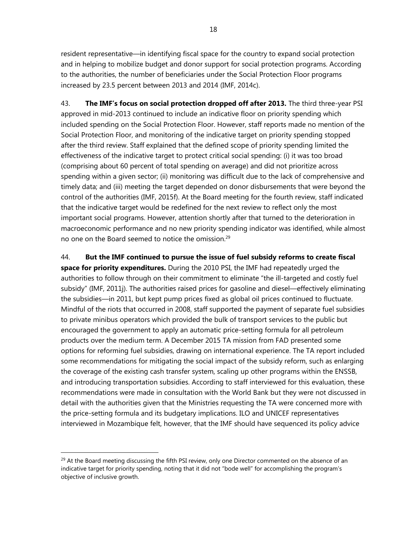resident representative—in identifying fiscal space for the country to expand social protection and in helping to mobilize budget and donor support for social protection programs. According to the authorities, the number of beneficiaries under the Social Protection Floor programs increased by 23.5 percent between 2013 and 2014 (IMF, 2014c).

43. **The IMF's focus on social protection dropped off after 2013.** The third three-year PSI approved in mid-2013 continued to include an indicative floor on priority spending which included spending on the Social Protection Floor. However, staff reports made no mention of the Social Protection Floor, and monitoring of the indicative target on priority spending stopped after the third review. Staff explained that the defined scope of priority spending limited the effectiveness of the indicative target to protect critical social spending: (i) it was too broad (comprising about 60 percent of total spending on average) and did not prioritize across spending within a given sector; (ii) monitoring was difficult due to the lack of comprehensive and timely data; and (iii) meeting the target depended on donor disbursements that were beyond the control of the authorities (IMF, 2015f). At the Board meeting for the fourth review, staff indicated that the indicative target would be redefined for the next review to reflect only the most important social programs. However, attention shortly after that turned to the deterioration in macroeconomic performance and no new priority spending indicator was identified, while almost no one on the Board seemed to notice the omission.<sup>29</sup>

44. **But the IMF continued to pursue the issue of fuel subsidy reforms to create fiscal space for priority expenditures.** During the 2010 PSI, the IMF had repeatedly urged the authorities to follow through on their commitment to eliminate "the ill-targeted and costly fuel subsidy" (IMF, 2011j). The authorities raised prices for gasoline and diesel—effectively eliminating the subsidies—in 2011, but kept pump prices fixed as global oil prices continued to fluctuate. Mindful of the riots that occurred in 2008, staff supported the payment of separate fuel subsidies to private minibus operators which provided the bulk of transport services to the public but encouraged the government to apply an automatic price-setting formula for all petroleum products over the medium term. A December 2015 TA mission from FAD presented some options for reforming fuel subsidies, drawing on international experience. The TA report included some recommendations for mitigating the social impact of the subsidy reform, such as enlarging the coverage of the existing cash transfer system, scaling up other programs within the ENSSB, and introducing transportation subsidies. According to staff interviewed for this evaluation, these recommendations were made in consultation with the World Bank but they were not discussed in detail with the authorities given that the Ministries requesting the TA were concerned more with the price-setting formula and its budgetary implications. ILO and UNICEF representatives interviewed in Mozambique felt, however, that the IMF should have sequenced its policy advice

 $^{29}$  At the Board meeting discussing the fifth PSI review, only one Director commented on the absence of an indicative target for priority spending, noting that it did not "bode well" for accomplishing the program's objective of inclusive growth.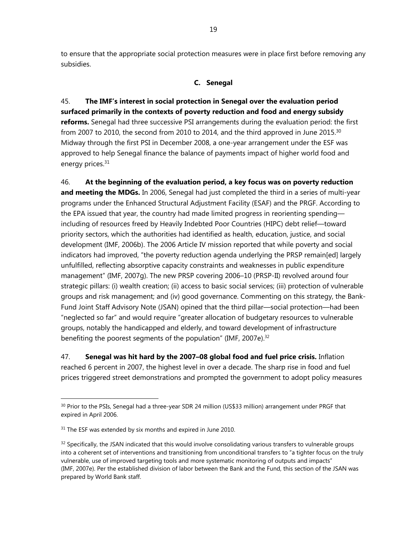to ensure that the appropriate social protection measures were in place first before removing any subsidies.

### **C. Senegal**

45. **The IMF's interest in social protection in Senegal over the evaluation period surfaced primarily in the contexts of poverty reduction and food and energy subsidy reforms.** Senegal had three successive PSI arrangements during the evaluation period: the first from 2007 to 2010, the second from 2010 to 2014, and the third approved in June 2015. $30$ Midway through the first PSI in December 2008, a one-year arrangement under the ESF was approved to help Senegal finance the balance of payments impact of higher world food and energy prices.<sup>31</sup>

46. **At the beginning of the evaluation period, a key focus was on poverty reduction and meeting the MDGs.** In 2006, Senegal had just completed the third in a series of multi-year programs under the Enhanced Structural Adjustment Facility (ESAF) and the PRGF. According to the EPA issued that year, the country had made limited progress in reorienting spending including of resources freed by Heavily Indebted Poor Countries (HIPC) debt relief—toward priority sectors, which the authorities had identified as health, education, justice, and social development (IMF, 2006b). The 2006 Article IV mission reported that while poverty and social indicators had improved, "the poverty reduction agenda underlying the PRSP remain[ed] largely unfulfilled, reflecting absorptive capacity constraints and weaknesses in public expenditure management" (IMF, 2007g). The new PRSP covering 2006–10 (PRSP-II) revolved around four strategic pillars: (i) wealth creation; (ii) access to basic social services; (iii) protection of vulnerable groups and risk management; and (iv) good governance. Commenting on this strategy, the Bank-Fund Joint Staff Advisory Note (JSAN) opined that the third pillar—social protection—had been "neglected so far" and would require "greater allocation of budgetary resources to vulnerable groups, notably the handicapped and elderly, and toward development of infrastructure benefiting the poorest segments of the population" (IMF, 2007e).<sup>32</sup>

47. **Senegal was hit hard by the 2007–08 global food and fuel price crisis.** Inflation reached 6 percent in 2007, the highest level in over a decade. The sharp rise in food and fuel prices triggered street demonstrations and prompted the government to adopt policy measures

<sup>&</sup>lt;sup>30</sup> Prior to the PSIs, Senegal had a three-year SDR 24 million (US\$33 million) arrangement under PRGF that expired in April 2006.

 $31$  The ESF was extended by six months and expired in June 2010.

 $32$  Specifically, the JSAN indicated that this would involve consolidating various transfers to vulnerable groups into a coherent set of interventions and transitioning from unconditional transfers to "a tighter focus on the truly vulnerable, use of improved targeting tools and more systematic monitoring of outputs and impacts" (IMF, 2007e). Per the established division of labor between the Bank and the Fund, this section of the JSAN was prepared by World Bank staff.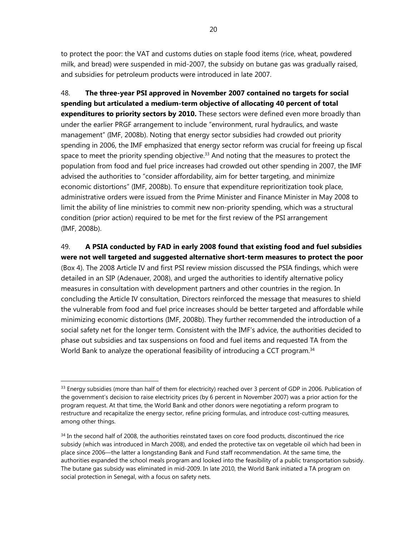to protect the poor: the VAT and customs duties on staple food items (rice, wheat, powdered milk, and bread) were suspended in mid-2007, the subsidy on butane gas was gradually raised, and subsidies for petroleum products were introduced in late 2007.

48. **The three-year PSI approved in November 2007 contained no targets for social spending but articulated a medium-term objective of allocating 40 percent of total expenditures to priority sectors by 2010.** These sectors were defined even more broadly than under the earlier PRGF arrangement to include "environment, rural hydraulics, and waste management" (IMF, 2008b). Noting that energy sector subsidies had crowded out priority spending in 2006, the IMF emphasized that energy sector reform was crucial for freeing up fiscal space to meet the priority spending objective. $33$  And noting that the measures to protect the population from food and fuel price increases had crowded out other spending in 2007, the IMF advised the authorities to "consider affordability, aim for better targeting, and minimize economic distortions" (IMF, 2008b). To ensure that expenditure reprioritization took place, administrative orders were issued from the Prime Minister and Finance Minister in May 2008 to limit the ability of line ministries to commit new non-priority spending, which was a structural condition (prior action) required to be met for the first review of the PSI arrangement (IMF, 2008b).

49. **A PSIA conducted by FAD in early 2008 found that existing food and fuel subsidies were not well targeted and suggested alternative short-term measures to protect the poor** (Box 4). The 2008 Article IV and first PSI review mission discussed the PSIA findings, which were detailed in an SIP (Adenauer, 2008), and urged the authorities to identify alternative policy measures in consultation with development partners and other countries in the region. In concluding the Article IV consultation, Directors reinforced the message that measures to shield the vulnerable from food and fuel price increases should be better targeted and affordable while minimizing economic distortions (IMF, 2008b). They further recommended the introduction of a social safety net for the longer term. Consistent with the IMF's advice, the authorities decided to phase out subsidies and tax suspensions on food and fuel items and requested TA from the World Bank to analyze the operational feasibility of introducing a CCT program.<sup>34</sup>

 $33$  Energy subsidies (more than half of them for electricity) reached over 3 percent of GDP in 2006. Publication of the government's decision to raise electricity prices (by 6 percent in November 2007) was a prior action for the program request. At that time, the World Bank and other donors were negotiating a reform program to restructure and recapitalize the energy sector, refine pricing formulas, and introduce cost-cutting measures, among other things.

<sup>&</sup>lt;sup>34</sup> In the second half of 2008, the authorities reinstated taxes on core food products, discontinued the rice subsidy (which was introduced in March 2008), and ended the protective tax on vegetable oil which had been in place since 2006—the latter a longstanding Bank and Fund staff recommendation. At the same time, the authorities expanded the school meals program and looked into the feasibility of a public transportation subsidy. The butane gas subsidy was eliminated in mid-2009. In late 2010, the World Bank initiated a TA program on social protection in Senegal, with a focus on safety nets.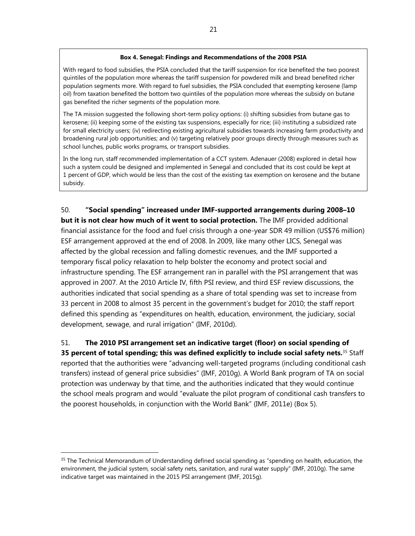#### **Box 4. Senegal: Findings and Recommendations of the 2008 PSIA**

With regard to food subsidies, the PSIA concluded that the tariff suspension for rice benefited the two poorest quintiles of the population more whereas the tariff suspension for powdered milk and bread benefited richer population segments more. With regard to fuel subsidies, the PSIA concluded that exempting kerosene (lamp oil) from taxation benefited the bottom two quintiles of the population more whereas the subsidy on butane gas benefited the richer segments of the population more.

The TA mission suggested the following short-term policy options: (i) shifting subsidies from butane gas to kerosene; (ii) keeping some of the existing tax suspensions, especially for rice; (iii) instituting a subsidized rate for small electricity users; (iv) redirecting existing agricultural subsidies towards increasing farm productivity and broadening rural job opportunities; and (v) targeting relatively poor groups directly through measures such as school lunches, public works programs, or transport subsidies.

In the long run, staff recommended implementation of a CCT system. Adenauer (2008) explored in detail how such a system could be designed and implemented in Senegal and concluded that its cost could be kept at 1 percent of GDP, which would be less than the cost of the existing tax exemption on kerosene and the butane subsidy.

50. **"Social spending" increased under IMF-supported arrangements during 2008–10 but it is not clear how much of it went to social protection.** The IMF provided additional financial assistance for the food and fuel crisis through a one-year SDR 49 million (US\$76 million) ESF arrangement approved at the end of 2008. In 2009, like many other LICS, Senegal was affected by the global recession and falling domestic revenues, and the IMF supported a temporary fiscal policy relaxation to help bolster the economy and protect social and infrastructure spending. The ESF arrangement ran in parallel with the PSI arrangement that was approved in 2007. At the 2010 Article IV, fifth PSI review, and third ESF review discussions, the authorities indicated that social spending as a share of total spending was set to increase from 33 percent in 2008 to almost 35 percent in the government's budget for 2010; the staff report defined this spending as "expenditures on health, education, environment, the judiciary, social development, sewage, and rural irrigation" (IMF, 2010d).

# 51. **The 2010 PSI arrangement set an indicative target (floor) on social spending of**

**35 percent of total spending; this was defined explicitly to include social safety nets.**35 Staff reported that the authorities were "advancing well-targeted programs (including conditional cash transfers) instead of general price subsidies" (IMF, 2010g). A World Bank program of TA on social protection was underway by that time, and the authorities indicated that they would continue the school meals program and would "evaluate the pilot program of conditional cash transfers to the poorest households, in conjunction with the World Bank" (IMF, 2011e) (Box 5).

<sup>&</sup>lt;sup>35</sup> The Technical Memorandum of Understanding defined social spending as "spending on health, education, the environment, the judicial system, social safety nets, sanitation, and rural water supply" (IMF, 2010g). The same indicative target was maintained in the 2015 PSI arrangement (IMF, 2015g).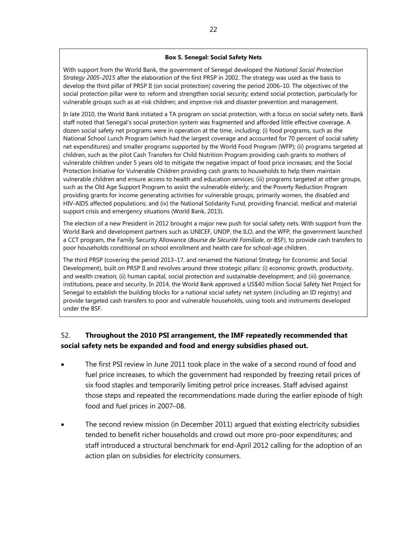#### **Box 5. Senegal: Social Safety Nets**

With support from the World Bank, the government of Senegal developed the *National Social Protection Strategy 2005-2015* after the elaboration of the first PRSP in 2002. The strategy was used as the basis to develop the third pillar of PRSP II (on social protection) covering the period 2006–10. The objectives of the social protection pillar were to: reform and strengthen social security; extend social protection, particularly for vulnerable groups such as at-risk children; and improve risk and disaster prevention and management.

In late 2010, the World Bank initiated a TA program on social protection, with a focus on social safety nets. Bank staff noted that Senegal's social protection system was fragmented and afforded little effective coverage. A dozen social safety net programs were in operation at the time, including: (i) food programs, such as the National School Lunch Program (which had the largest coverage and accounted for 70 percent of social safety net expenditures) and smaller programs supported by the World Food Program (WFP); (ii) programs targeted at children, such as the pilot Cash Transfers for Child Nutrition Program providing cash grants to mothers of vulnerable children under 5 years old to mitigate the negative impact of food price increases; and the Social Protection Initiative for Vulnerable Children providing cash grants to households to help them maintain vulnerable children and ensure access to health and education services; (iii) programs targeted at other groups, such as the Old Age Support Program to assist the vulnerable elderly; and the Poverty Reduction Program providing grants for income generating activities for vulnerable groups, primarily women, the disabled and HIV-AIDS affected populations; and (iv) the National Solidarity Fund, providing financial, medical and material support crisis and emergency situations (World Bank, 2013).

The election of a new President in 2012 brought a major new push for social safety nets. With support from the World Bank and development partners such as UNICEF, UNDP, the ILO, and the WFP, the government launched a CCT program, the Family Security Allowance (*Bourse de Sécurité Familiale*, or BSF), to provide cash transfers to poor households conditional on school enrollment and health care for school-age children.

The third PRSP (covering the period 2013–17, and renamed the National Strategy for Economic and Social Development), built on PRSP II and revolves around three strategic pillars: (i) economic growth, productivity, and wealth creation; (ii) human capital, social protection and sustainable development; and (iii) governance, institutions, peace and security. In 2014, the World Bank approved a US\$40 million Social Safety Net Project for Senegal to establish the building blocks for a national social safety net system (including an ID registry) and provide targeted cash transfers to poor and vulnerable households, using tools and instruments developed under the BSF.

# 52. **Throughout the 2010 PSI arrangement, the IMF repeatedly recommended that social safety nets be expanded and food and energy subsidies phased out.**

- The first PSI review in June 2011 took place in the wake of a second round of food and fuel price increases, to which the government had responded by freezing retail prices of six food staples and temporarily limiting petrol price increases. Staff advised against those steps and repeated the recommendations made during the earlier episode of high food and fuel prices in 2007–08.
- The second review mission (in December 2011) argued that existing electricity subsidies tended to benefit richer households and crowd out more pro-poor expenditures; and staff introduced a structural benchmark for end-April 2012 calling for the adoption of an action plan on subsidies for electricity consumers.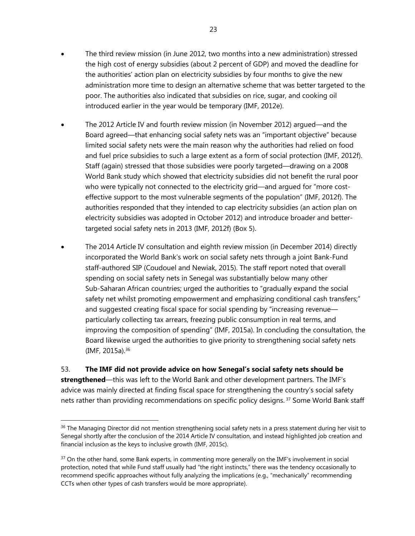- The third review mission (in June 2012, two months into a new administration) stressed the high cost of energy subsidies (about 2 percent of GDP) and moved the deadline for the authorities' action plan on electricity subsidies by four months to give the new administration more time to design an alternative scheme that was better targeted to the poor. The authorities also indicated that subsidies on rice, sugar, and cooking oil introduced earlier in the year would be temporary (IMF, 2012e).
- The 2012 Article IV and fourth review mission (in November 2012) argued—and the Board agreed—that enhancing social safety nets was an "important objective" because limited social safety nets were the main reason why the authorities had relied on food and fuel price subsidies to such a large extent as a form of social protection (IMF, 2012f). Staff (again) stressed that those subsidies were poorly targeted—drawing on a 2008 World Bank study which showed that electricity subsidies did not benefit the rural poor who were typically not connected to the electricity grid—and argued for "more costeffective support to the most vulnerable segments of the population" (IMF, 2012f). The authorities responded that they intended to cap electricity subsidies (an action plan on electricity subsidies was adopted in October 2012) and introduce broader and bettertargeted social safety nets in 2013 (IMF, 2012f) (Box 5).
- The 2014 Article IV consultation and eighth review mission (in December 2014) directly incorporated the World Bank's work on social safety nets through a joint Bank-Fund staff-authored SIP (Coudouel and Newiak, 2015). The staff report noted that overall spending on social safety nets in Senegal was substantially below many other Sub-Saharan African countries; urged the authorities to "gradually expand the social safety net whilst promoting empowerment and emphasizing conditional cash transfers;" and suggested creating fiscal space for social spending by "increasing revenue particularly collecting tax arrears, freezing public consumption in real terms, and improving the composition of spending" (IMF, 2015a). In concluding the consultation, the Board likewise urged the authorities to give priority to strengthening social safety nets (IMF, 2015a).36

53. **The IMF did not provide advice on how Senegal's social safety nets should be strengthened**—this was left to the World Bank and other development partners. The IMF's advice was mainly directed at finding fiscal space for strengthening the country's social safety nets rather than providing recommendations on specific policy designs.<sup>37</sup> Some World Bank staff

<sup>&</sup>lt;sup>36</sup> The Managing Director did not mention strengthening social safety nets in a press statement during her visit to Senegal shortly after the conclusion of the 2014 Article IV consultation, and instead highlighted job creation and financial inclusion as the keys to inclusive growth (IMF, 2015c).

<sup>&</sup>lt;sup>37</sup> On the other hand, some Bank experts, in commenting more generally on the IMF's involvement in social protection, noted that while Fund staff usually had "the right instincts," there was the tendency occasionally to recommend specific approaches without fully analyzing the implications (e.g., "mechanically" recommending CCTs when other types of cash transfers would be more appropriate).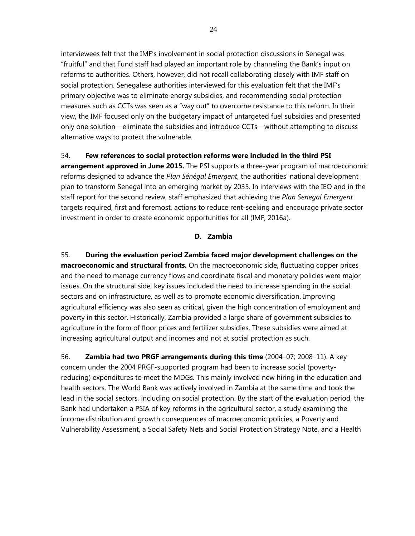interviewees felt that the IMF's involvement in social protection discussions in Senegal was "fruitful" and that Fund staff had played an important role by channeling the Bank's input on reforms to authorities. Others, however, did not recall collaborating closely with IMF staff on social protection. Senegalese authorities interviewed for this evaluation felt that the IMF's primary objective was to eliminate energy subsidies, and recommending social protection measures such as CCTs was seen as a "way out" to overcome resistance to this reform. In their view, the IMF focused only on the budgetary impact of untargeted fuel subsidies and presented only one solution—eliminate the subsidies and introduce CCTs—without attempting to discuss alternative ways to protect the vulnerable.

## 54. **Few references to social protection reforms were included in the third PSI**

**arrangement approved in June 2015.** The PSI supports a three-year program of macroeconomic reforms designed to advance the *Plan Sénégal Emergent*, the authorities' national development plan to transform Senegal into an emerging market by 2035. In interviews with the IEO and in the staff report for the second review, staff emphasized that achieving the *Plan Senegal Emergent* targets required, first and foremost, actions to reduce rent-seeking and encourage private sector investment in order to create economic opportunities for all (IMF, 2016a).

### **D. Zambia**

55. **During the evaluation period Zambia faced major development challenges on the macroeconomic and structural fronts.** On the macroeconomic side, fluctuating copper prices and the need to manage currency flows and coordinate fiscal and monetary policies were major issues. On the structural side, key issues included the need to increase spending in the social sectors and on infrastructure, as well as to promote economic diversification. Improving agricultural efficiency was also seen as critical, given the high concentration of employment and poverty in this sector. Historically, Zambia provided a large share of government subsidies to agriculture in the form of floor prices and fertilizer subsidies. These subsidies were aimed at increasing agricultural output and incomes and not at social protection as such.

56. **Zambia had two PRGF arrangements during this time** (2004–07; 2008–11). A key concern under the 2004 PRGF-supported program had been to increase social (povertyreducing) expenditures to meet the MDGs. This mainly involved new hiring in the education and health sectors. The World Bank was actively involved in Zambia at the same time and took the lead in the social sectors, including on social protection. By the start of the evaluation period, the Bank had undertaken a PSIA of key reforms in the agricultural sector, a study examining the income distribution and growth consequences of macroeconomic policies, a Poverty and Vulnerability Assessment, a Social Safety Nets and Social Protection Strategy Note, and a Health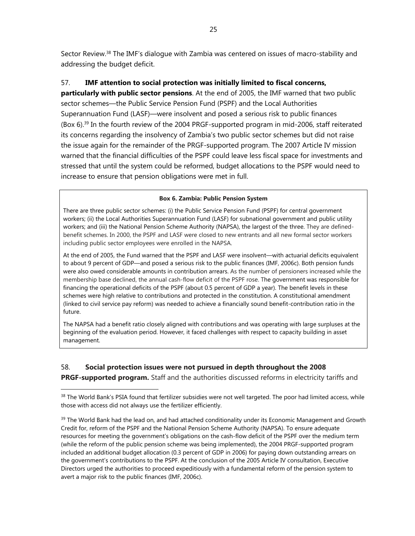Sector Review.38 The IMF's dialogue with Zambia was centered on issues of macro-stability and addressing the budget deficit.

## 57. **IMF attention to social protection was initially limited to fiscal concerns,**

**particularly with public sector pensions**. At the end of 2005, the IMF warned that two public sector schemes—the Public Service Pension Fund (PSPF) and the Local Authorities Superannuation Fund (LASF)—were insolvent and posed a serious risk to public finances (Box 6).39 In the fourth review of the 2004 PRGF-supported program in mid-2006, staff reiterated its concerns regarding the insolvency of Zambia's two public sector schemes but did not raise the issue again for the remainder of the PRGF-supported program. The 2007 Article IV mission warned that the financial difficulties of the PSPF could leave less fiscal space for investments and stressed that until the system could be reformed, budget allocations to the PSPF would need to increase to ensure that pension obligations were met in full.

### **Box 6. Zambia: Public Pension System**

There are three public sector schemes: (i) the Public Service Pension Fund (PSPF) for central government workers; (ii) the Local Authorities Superannuation Fund (LASF) for subnational government and public utility workers; and (iii) the National Pension Scheme Authority (NAPSA), the largest of the three. They are definedbenefit schemes. In 2000, the PSPF and LASF were closed to new entrants and all new formal sector workers including public sector employees were enrolled in the NAPSA.

At the end of 2005, the Fund warned that the PSPF and LASF were insolvent—with actuarial deficits equivalent to about 9 percent of GDP—and posed a serious risk to the public finances (IMF, 2006c). Both pension funds were also owed considerable amounts in contribution arrears. As the number of pensioners increased while the membership base declined, the annual cash-flow deficit of the PSPF rose. The government was responsible for financing the operational deficits of the PSPF (about 0.5 percent of GDP a year). The benefit levels in these schemes were high relative to contributions and protected in the constitution. A constitutional amendment (linked to civil service pay reform) was needed to achieve a financially sound benefit-contribution ratio in the future.

The NAPSA had a benefit ratio closely aligned with contributions and was operating with large surpluses at the beginning of the evaluation period. However, it faced challenges with respect to capacity building in asset management.

# 58. **Social protection issues were not pursued in depth throughout the 2008**

 $\overline{a}$ 

**PRGF-supported program.** Staff and the authorities discussed reforms in electricity tariffs and

<sup>&</sup>lt;sup>38</sup> The World Bank's PSIA found that fertilizer subsidies were not well targeted. The poor had limited access, while those with access did not always use the fertilizer efficiently.

<sup>&</sup>lt;sup>39</sup> The World Bank had the lead on, and had attached conditionality under its Economic Management and Growth Credit for, reform of the PSPF and the National Pension Scheme Authority (NAPSA). To ensure adequate resources for meeting the government's obligations on the cash-flow deficit of the PSPF over the medium term (while the reform of the public pension scheme was being implemented), the 2004 PRGF-supported program included an additional budget allocation (0.3 percent of GDP in 2006) for paying down outstanding arrears on the government's contributions to the PSPF. At the conclusion of the 2005 Article IV consultation, Executive Directors urged the authorities to proceed expeditiously with a fundamental reform of the pension system to avert a major risk to the public finances (IMF, 2006c).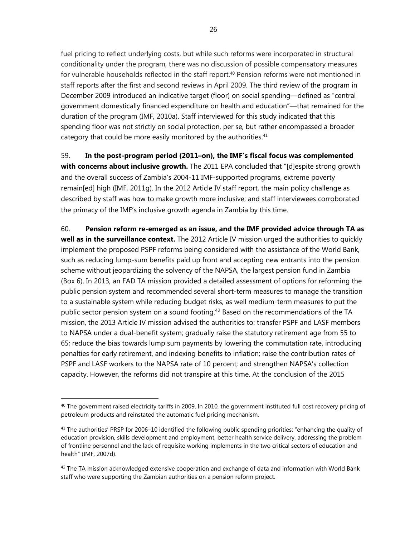fuel pricing to reflect underlying costs, but while such reforms were incorporated in structural conditionality under the program, there was no discussion of possible compensatory measures for vulnerable households reflected in the staff report.<sup>40</sup> Pension reforms were not mentioned in staff reports after the first and second reviews in April 2009. The third review of the program in December 2009 introduced an indicative target (floor) on social spending—defined as "central government domestically financed expenditure on health and education"—that remained for the duration of the program (IMF, 2010a). Staff interviewed for this study indicated that this spending floor was not strictly on social protection, per se, but rather encompassed a broader category that could be more easily monitored by the authorities.<sup>41</sup>

59. **In the post-program period (2011–on), the IMF's fiscal focus was complemented with concerns about inclusive growth.** The 2011 EPA concluded that "[d]espite strong growth and the overall success of Zambia's 2004-11 IMF-supported programs, extreme poverty remain[ed] high (IMF, 2011g). In the 2012 Article IV staff report, the main policy challenge as described by staff was how to make growth more inclusive; and staff interviewees corroborated the primacy of the IMF's inclusive growth agenda in Zambia by this time.

60. **Pension reform re-emerged as an issue, and the IMF provided advice through TA as well as in the surveillance context.** The 2012 Article IV mission urged the authorities to quickly implement the proposed PSPF reforms being considered with the assistance of the World Bank, such as reducing lump-sum benefits paid up front and accepting new entrants into the pension scheme without jeopardizing the solvency of the NAPSA, the largest pension fund in Zambia (Box 6). In 2013, an FAD TA mission provided a detailed assessment of options for reforming the public pension system and recommended several short-term measures to manage the transition to a sustainable system while reducing budget risks, as well medium-term measures to put the public sector pension system on a sound footing.<sup>42</sup> Based on the recommendations of the TA mission, the 2013 Article IV mission advised the authorities to: transfer PSPF and LASF members to NAPSA under a dual-benefit system; gradually raise the statutory retirement age from 55 to 65; reduce the bias towards lump sum payments by lowering the commutation rate, introducing penalties for early retirement, and indexing benefits to inflation; raise the contribution rates of PSPF and LASF workers to the NAPSA rate of 10 percent; and strengthen NAPSA's collection capacity. However, the reforms did not transpire at this time. At the conclusion of the 2015

 $40$  The government raised electricity tariffs in 2009. In 2010, the government instituted full cost recovery pricing of petroleum products and reinstated the automatic fuel pricing mechanism.

 $41$  The authorities' PRSP for 2006–10 identified the following public spending priorities: "enhancing the quality of education provision, skills development and employment, better health service delivery, addressing the problem of frontline personnel and the lack of requisite working implements in the two critical sectors of education and health" (IMF, 2007d).

 $42$  The TA mission acknowledged extensive cooperation and exchange of data and information with World Bank staff who were supporting the Zambian authorities on a pension reform project.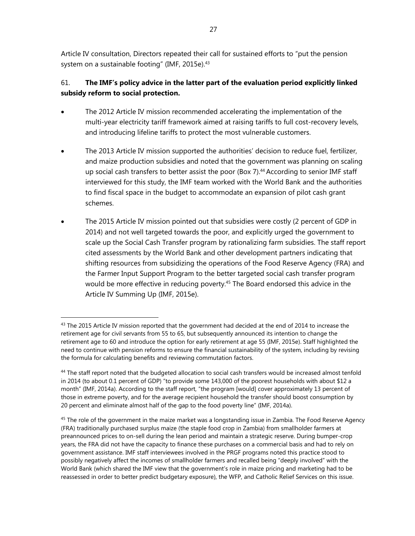Article IV consultation, Directors repeated their call for sustained efforts to "put the pension system on a sustainable footing" (IMF, 2015e). $43$ 

# 61. **The IMF's policy advice in the latter part of the evaluation period explicitly linked subsidy reform to social protection.**

- The 2012 Article IV mission recommended accelerating the implementation of the multi-year electricity tariff framework aimed at raising tariffs to full cost-recovery levels, and introducing lifeline tariffs to protect the most vulnerable customers.
- The 2013 Article IV mission supported the authorities' decision to reduce fuel, fertilizer, and maize production subsidies and noted that the government was planning on scaling up social cash transfers to better assist the poor (Box 7). $44$  According to senior IMF staff interviewed for this study, the IMF team worked with the World Bank and the authorities to find fiscal space in the budget to accommodate an expansion of pilot cash grant schemes.
- The 2015 Article IV mission pointed out that subsidies were costly (2 percent of GDP in 2014) and not well targeted towards the poor, and explicitly urged the government to scale up the Social Cash Transfer program by rationalizing farm subsidies. The staff report cited assessments by the World Bank and other development partners indicating that shifting resources from subsidizing the operations of the Food Reserve Agency (FRA) and the Farmer Input Support Program to the better targeted social cash transfer program would be more effective in reducing poverty.<sup>45</sup> The Board endorsed this advice in the Article IV Summing Up (IMF, 2015e).

 $43$  The 2015 Article IV mission reported that the government had decided at the end of 2014 to increase the retirement age for civil servants from 55 to 65, but subsequently announced its intention to change the retirement age to 60 and introduce the option for early retirement at age 55 (IMF, 2015e). Staff highlighted the need to continue with pension reforms to ensure the financial sustainability of the system, including by revising the formula for calculating benefits and reviewing commutation factors.

<sup>&</sup>lt;sup>44</sup> The staff report noted that the budgeted allocation to social cash transfers would be increased almost tenfold in 2014 (to about 0.1 percent of GDP) "to provide some 143,000 of the poorest households with about \$12 a month" (IMF, 2014a). According to the staff report, "the program [would] cover approximately 13 percent of those in extreme poverty, and for the average recipient household the transfer should boost consumption by 20 percent and eliminate almost half of the gap to the food poverty line" (IMF, 2014a).

<sup>&</sup>lt;sup>45</sup> The role of the government in the maize market was a longstanding issue in Zambia. The Food Reserve Agency (FRA) traditionally purchased surplus maize (the staple food crop in Zambia) from smallholder farmers at preannounced prices to on-sell during the lean period and maintain a strategic reserve. During bumper-crop years, the FRA did not have the capacity to finance these purchases on a commercial basis and had to rely on government assistance. IMF staff interviewees involved in the PRGF programs noted this practice stood to possibly negatively affect the incomes of smallholder farmers and recalled being "deeply involved" with the World Bank (which shared the IMF view that the government's role in maize pricing and marketing had to be reassessed in order to better predict budgetary exposure), the WFP, and Catholic Relief Services on this issue.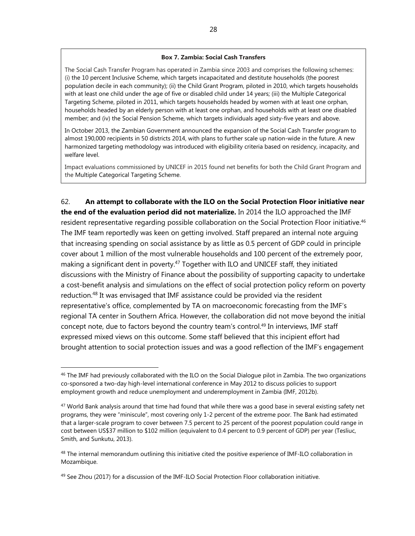#### **Box 7. Zambia: Social Cash Transfers**

The Social Cash Transfer Program has operated in Zambia since 2003 and comprises the following schemes: (i) the 10 percent Inclusive Scheme, which targets incapacitated and destitute households (the poorest population decile in each community); (ii) the Child Grant Program, piloted in 2010, which targets households with at least one child under the age of five or disabled child under 14 years; (iii) the Multiple Categorical Targeting Scheme, piloted in 2011, which targets households headed by women with at least one orphan, households headed by an elderly person with at least one orphan, and households with at least one disabled member; and (iv) the Social Pension Scheme, which targets individuals aged sixty-five years and above.

In October 2013, the Zambian Government announced the expansion of the Social Cash Transfer program to almost 190,000 recipients in 50 districts 2014, with plans to further scale up nation-wide in the future. A new harmonized targeting methodology was introduced with eligibility criteria based on residency, incapacity, and welfare level.

Impact evaluations commissioned by UNICEF in 2015 found net benefits for both the Child Grant Program and the Multiple Categorical Targeting Scheme.

62. **An attempt to collaborate with the ILO on the Social Protection Floor initiative near the end of the evaluation period did not materialize.** In 2014 the ILO approached the IMF resident representative regarding possible collaboration on the Social Protection Floor initiative.<sup>46</sup> The IMF team reportedly was keen on getting involved. Staff prepared an internal note arguing that increasing spending on social assistance by as little as 0.5 percent of GDP could in principle cover about 1 million of the most vulnerable households and 100 percent of the extremely poor, making a significant dent in poverty.<sup>47</sup> Together with ILO and UNICEF staff, they initiated discussions with the Ministry of Finance about the possibility of supporting capacity to undertake a cost-benefit analysis and simulations on the effect of social protection policy reform on poverty reduction.48 It was envisaged that IMF assistance could be provided via the resident representative's office, complemented by TA on macroeconomic forecasting from the IMF's regional TA center in Southern Africa. However, the collaboration did not move beyond the initial concept note, due to factors beyond the country team's control.49 In interviews, IMF staff expressed mixed views on this outcome. Some staff believed that this incipient effort had brought attention to social protection issues and was a good reflection of the IMF's engagement

<sup>&</sup>lt;sup>46</sup> The IMF had previously collaborated with the ILO on the Social Dialogue pilot in Zambia. The two organizations co-sponsored a two-day high-level international conference in May 2012 to discuss policies to support employment growth and reduce unemployment and underemployment in Zambia (IMF, 2012b).

 $47$  World Bank analysis around that time had found that while there was a good base in several existing safety net programs, they were "miniscule", most covering only 1-2 percent of the extreme poor. The Bank had estimated that a larger-scale program to cover between 7.5 percent to 25 percent of the poorest population could range in cost between US\$37 million to \$102 million (equivalent to 0.4 percent to 0.9 percent of GDP) per year (Tesliuc, Smith, and Sunkutu, 2013).

<sup>&</sup>lt;sup>48</sup> The internal memorandum outlining this initiative cited the positive experience of IMF-ILO collaboration in Mozambique.

<sup>&</sup>lt;sup>49</sup> See Zhou (2017) for a discussion of the IMF-ILO Social Protection Floor collaboration initiative.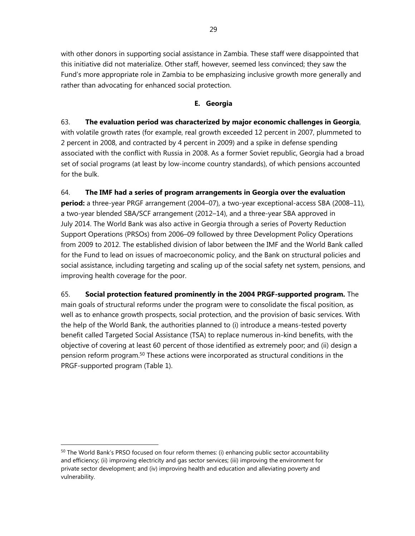with other donors in supporting social assistance in Zambia. These staff were disappointed that this initiative did not materialize. Other staff, however, seemed less convinced; they saw the Fund's more appropriate role in Zambia to be emphasizing inclusive growth more generally and rather than advocating for enhanced social protection.

## **E. Georgia**

### 63. **The evaluation period was characterized by major economic challenges in Georgia**,

with volatile growth rates (for example, real growth exceeded 12 percent in 2007, plummeted to 2 percent in 2008, and contracted by 4 percent in 2009) and a spike in defense spending associated with the conflict with Russia in 2008. As a former Soviet republic, Georgia had a broad set of social programs (at least by low-income country standards), of which pensions accounted for the bulk.

## 64. **The IMF had a series of program arrangements in Georgia over the evaluation**

**period:** a three-year PRGF arrangement (2004–07), a two-year exceptional-access SBA (2008–11), a two-year blended SBA/SCF arrangement (2012–14), and a three-year SBA approved in July 2014. The World Bank was also active in Georgia through a series of Poverty Reduction Support Operations (PRSOs) from 2006–09 followed by three Development Policy Operations from 2009 to 2012. The established division of labor between the IMF and the World Bank called for the Fund to lead on issues of macroeconomic policy, and the Bank on structural policies and social assistance, including targeting and scaling up of the social safety net system, pensions, and improving health coverage for the poor.

65. **Social protection featured prominently in the 2004 PRGF-supported program.** The main goals of structural reforms under the program were to consolidate the fiscal position, as well as to enhance growth prospects, social protection, and the provision of basic services. With the help of the World Bank, the authorities planned to (i) introduce a means-tested poverty benefit called Targeted Social Assistance (TSA) to replace numerous in-kind benefits, with the objective of covering at least 60 percent of those identified as extremely poor; and (ii) design a pension reform program.50 These actions were incorporated as structural conditions in the PRGF-supported program (Table 1).

<sup>&</sup>lt;sup>50</sup> The World Bank's PRSO focused on four reform themes: (i) enhancing public sector accountability and efficiency; (ii) improving electricity and gas sector services; (iii) improving the environment for private sector development; and (iv) improving health and education and alleviating poverty and vulnerability.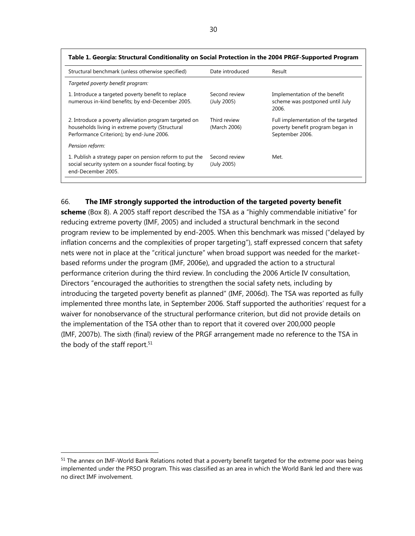| Structural benchmark (unless otherwise specified)                                                                                                       | Date introduced              | Result                                                                                     |
|---------------------------------------------------------------------------------------------------------------------------------------------------------|------------------------------|--------------------------------------------------------------------------------------------|
| Targeted poverty benefit program:                                                                                                                       |                              |                                                                                            |
| 1. Introduce a targeted poverty benefit to replace<br>numerous in-kind benefits; by end-December 2005.                                                  | Second review<br>(July 2005) | Implementation of the benefit<br>scheme was postponed until July<br>2006.                  |
| 2. Introduce a poverty alleviation program targeted on<br>households living in extreme poverty (Structural<br>Performance Criterion); by end-June 2006. | Third review<br>(March 2006) | Full implementation of the targeted<br>poverty benefit program began in<br>September 2006. |
| Pension reform:                                                                                                                                         |                              |                                                                                            |
| 1. Publish a strategy paper on pension reform to put the<br>social security system on a sounder fiscal footing; by<br>end-December 2005.                | Second review<br>(July 2005) | Met.                                                                                       |

### **Table 1. Georgia: Structural Conditionality on Social Protection in the 2004 PRGF-Supported Program**

### 66. **The IMF strongly supported the introduction of the targeted poverty benefit**

**scheme** (Box 8). A 2005 staff report described the TSA as a "highly commendable initiative" for reducing extreme poverty (IMF, 2005) and included a structural benchmark in the second program review to be implemented by end-2005. When this benchmark was missed ("delayed by inflation concerns and the complexities of proper targeting"), staff expressed concern that safety nets were not in place at the "critical juncture" when broad support was needed for the marketbased reforms under the program (IMF, 2006e), and upgraded the action to a structural performance criterion during the third review. In concluding the 2006 Article IV consultation, Directors "encouraged the authorities to strengthen the social safety nets, including by introducing the targeted poverty benefit as planned" (IMF, 2006d). The TSA was reported as fully implemented three months late, in September 2006. Staff supported the authorities' request for a waiver for nonobservance of the structural performance criterion, but did not provide details on the implementation of the TSA other than to report that it covered over 200,000 people (IMF, 2007b). The sixth (final) review of the PRGF arrangement made no reference to the TSA in the body of the staff report.<sup>51</sup>

<sup>&</sup>lt;sup>51</sup> The annex on IMF-World Bank Relations noted that a poverty benefit targeted for the extreme poor was being implemented under the PRSO program. This was classified as an area in which the World Bank led and there was no direct IMF involvement.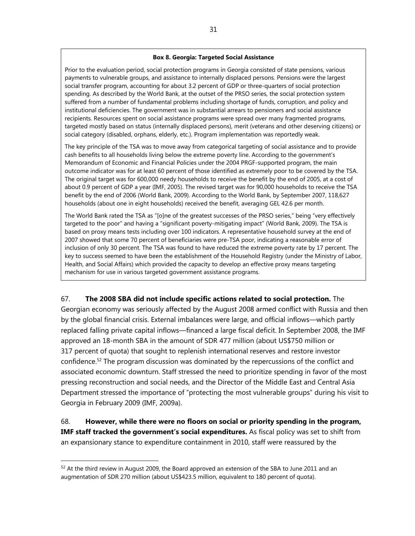#### **Box 8. Georgia: Targeted Social Assistance**

Prior to the evaluation period, social protection programs in Georgia consisted of state pensions, various payments to vulnerable groups, and assistance to internally displaced persons. Pensions were the largest social transfer program, accounting for about 3.2 percent of GDP or three-quarters of social protection spending. As described by the World Bank, at the outset of the PRSO series, the social protection system suffered from a number of fundamental problems including shortage of funds, corruption, and policy and institutional deficiencies. The government was in substantial arrears to pensioners and social assistance recipients. Resources spent on social assistance programs were spread over many fragmented programs, targeted mostly based on status (internally displaced persons), merit (veterans and other deserving citizens) or social category (disabled, orphans, elderly, etc.). Program implementation was reportedly weak.

The key principle of the TSA was to move away from categorical targeting of social assistance and to provide cash benefits to all households living below the extreme poverty line. According to the government's Memorandum of Economic and Financial Policies under the 2004 PRGF-supported program, the main outcome indicator was for at least 60 percent of those identified as extremely poor to be covered by the TSA. The original target was for 600,000 needy households to receive the benefit by the end of 2005, at a cost of about 0.9 percent of GDP a year (IMF, 2005). The revised target was for 90,000 households to receive the TSA benefit by the end of 2006 (World Bank, 2009). According to the World Bank, by September 2007, 118,627 households (about one in eight households) received the benefit, averaging GEL 42.6 per month.

The World Bank rated the TSA as "[o]ne of the greatest successes of the PRSO series," being "very effectively targeted to the poor" and having a "significant poverty-mitigating impact" (World Bank, 2009). The TSA is based on proxy means tests including over 100 indicators. A representative household survey at the end of 2007 showed that some 70 percent of beneficiaries were pre-TSA poor, indicating a reasonable error of inclusion of only 30 percent. The TSA was found to have reduced the extreme poverty rate by 17 percent. The key to success seemed to have been the establishment of the Household Registry (under the Ministry of Labor, Health, and Social Affairs) which provided the capacity to develop an effective proxy means targeting mechanism for use in various targeted government assistance programs.

### 67. **The 2008 SBA did not include specific actions related to social protection.** The

Georgian economy was seriously affected by the August 2008 armed conflict with Russia and then by the global financial crisis. External imbalances were large, and official inflows—which partly replaced falling private capital inflows—financed a large fiscal deficit. In September 2008, the IMF approved an 18-month SBA in the amount of SDR 477 million (about US\$750 million or 317 percent of quota) that sought to replenish international reserves and restore investor confidence.<sup>52</sup> The program discussion was dominated by the repercussions of the conflict and associated economic downturn. Staff stressed the need to prioritize spending in favor of the most pressing reconstruction and social needs, and the Director of the Middle East and Central Asia Department stressed the importance of "protecting the most vulnerable groups" during his visit to Georgia in February 2009 (IMF, 2009a).

68. **However, while there were no floors on social or priority spending in the program,**  IMF staff tracked the government's social expenditures. As fiscal policy was set to shift from an expansionary stance to expenditure containment in 2010, staff were reassured by the

 $52$  At the third review in August 2009, the Board approved an extension of the SBA to June 2011 and an augmentation of SDR 270 million (about US\$423.5 million, equivalent to 180 percent of quota).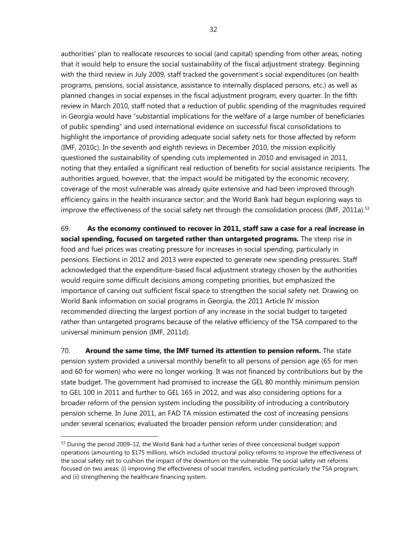authorities' plan to reallocate resources to social (and capital) spending from other areas, noting that it would help to ensure the social sustainability of the fiscal adjustment strategy. Beginning with the third review in July 2009, staff tracked the government's social expenditures (on health programs, pensions, social assistance, assistance to internally displaced persons, etc.) as well as planned changes in social expenses in the fiscal adjustment program, every quarter. In the fifth review in March 2010, staff noted that a reduction of public spending of the magnitudes required in Georgia would have "substantial implications for the welfare of a large number of beneficiaries of public spending" and used international evidence on successful fiscal consolidations to highlight the importance of providing adequate social safety nets for those affected by reform (IMF, 2010c). In the seventh and eighth reviews in December 2010, the mission explicitly questioned the sustainability of spending cuts implemented in 2010 and envisaged in 2011, noting that they entailed a significant real reduction of benefits for social assistance recipients. The authorities argued, however, that: the impact would be mitigated by the economic recovery; coverage of the most vulnerable was already quite extensive and had been improved through efficiency gains in the health insurance sector; and the World Bank had begun exploring ways to improve the effectiveness of the social safety net through the consolidation process (IMF, 2011a).<sup>53</sup>

69. **As the economy continued to recover in 2011, staff saw a case for a real increase in social spending, focused on targeted rather than untargeted programs.** The steep rise in food and fuel prices was creating pressure for increases in social spending, particularly in pensions. Elections in 2012 and 2013 were expected to generate new spending pressures. Staff acknowledged that the expenditure-based fiscal adjustment strategy chosen by the authorities would require some difficult decisions among competing priorities, but emphasized the importance of carving out sufficient fiscal space to strengthen the social safety net. Drawing on World Bank information on social programs in Georgia, the 2011 Article IV mission recommended directing the largest portion of any increase in the social budget to targeted rather than untargeted programs because of the relative efficiency of the TSA compared to the universal minimum pension (IMF, 2011d).

70. **Around the same time, the IMF turned its attention to pension reform.** The state pension system provided a universal monthly benefit to all persons of pension age (65 for men and 60 for women) who were no longer working. It was not financed by contributions but by the state budget. The government had promised to increase the GEL 80 monthly minimum pension to GEL 100 in 2011 and further to GEL 165 in 2012, and was also considering options for a broader reform of the pension system including the possibility of introducing a contributory pension scheme. In June 2011, an FAD TA mission estimated the cost of increasing pensions under several scenarios; evaluated the broader pension reform under consideration; and

<sup>&</sup>lt;sup>53</sup> During the period 2009–12, the World Bank had a further series of three concessional budget support operations (amounting to \$175 million), which included structural policy reforms to improve the effectiveness of the social safety net to cushion the impact of the downturn on the vulnerable. The social safety net reforms focused on two areas: (i) improving the effectiveness of social transfers, including particularly the TSA program; and (ii) strengthening the healthcare financing system.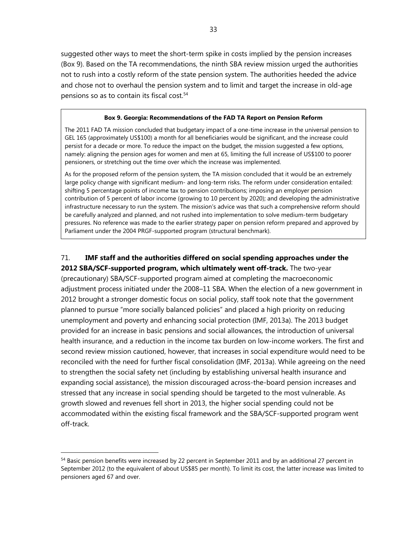suggested other ways to meet the short-term spike in costs implied by the pension increases (Box 9). Based on the TA recommendations, the ninth SBA review mission urged the authorities not to rush into a costly reform of the state pension system. The authorities heeded the advice and chose not to overhaul the pension system and to limit and target the increase in old-age pensions so as to contain its fiscal cost.<sup>54</sup>

#### **Box 9. Georgia: Recommendations of the FAD TA Report on Pension Reform**

The 2011 FAD TA mission concluded that budgetary impact of a one-time increase in the universal pension to GEL 165 (approximately US\$100) a month for all beneficiaries would be significant, and the increase could persist for a decade or more. To reduce the impact on the budget, the mission suggested a few options, namely: aligning the pension ages for women and men at 65, limiting the full increase of US\$100 to poorer pensioners, or stretching out the time over which the increase was implemented.

As for the proposed reform of the pension system, the TA mission concluded that it would be an extremely large policy change with significant medium- and long-term risks. The reform under consideration entailed: shifting 5 percentage points of income tax to pension contributions; imposing an employer pension contribution of 5 percent of labor income (growing to 10 percent by 2020); and developing the administrative infrastructure necessary to run the system. The mission's advice was that such a comprehensive reform should be carefully analyzed and planned, and not rushed into implementation to solve medium-term budgetary pressures. No reference was made to the earlier strategy paper on pension reform prepared and approved by Parliament under the 2004 PRGF-supported program (structural benchmark).

# 71. **IMF staff and the authorities differed on social spending approaches under the**

**2012 SBA/SCF-supported program, which ultimately went off-track.** The two-year (precautionary) SBA/SCF-supported program aimed at completing the macroeconomic adjustment process initiated under the 2008–11 SBA. When the election of a new government in 2012 brought a stronger domestic focus on social policy, staff took note that the government planned to pursue "more socially balanced policies" and placed a high priority on reducing unemployment and poverty and enhancing social protection (IMF, 2013a). The 2013 budget provided for an increase in basic pensions and social allowances, the introduction of universal health insurance, and a reduction in the income tax burden on low-income workers. The first and second review mission cautioned, however, that increases in social expenditure would need to be reconciled with the need for further fiscal consolidation (IMF, 2013a). While agreeing on the need to strengthen the social safety net (including by establishing universal health insurance and expanding social assistance), the mission discouraged across-the-board pension increases and stressed that any increase in social spending should be targeted to the most vulnerable. As growth slowed and revenues fell short in 2013, the higher social spending could not be accommodated within the existing fiscal framework and the SBA/SCF-supported program went off-track.

<sup>&</sup>lt;sup>54</sup> Basic pension benefits were increased by 22 percent in September 2011 and by an additional 27 percent in September 2012 (to the equivalent of about US\$85 per month). To limit its cost, the latter increase was limited to pensioners aged 67 and over.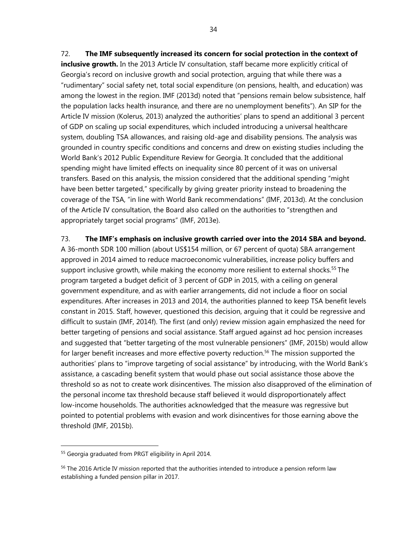72. **The IMF subsequently increased its concern for social protection in the context of inclusive growth.** In the 2013 Article IV consultation, staff became more explicitly critical of Georgia's record on inclusive growth and social protection, arguing that while there was a "rudimentary" social safety net, total social expenditure (on pensions, health, and education) was among the lowest in the region. IMF (2013d) noted that "pensions remain below subsistence, half the population lacks health insurance, and there are no unemployment benefits"). An SIP for the Article IV mission (Kolerus, 2013) analyzed the authorities' plans to spend an additional 3 percent of GDP on scaling up social expenditures, which included introducing a universal healthcare system, doubling TSA allowances, and raising old-age and disability pensions. The analysis was grounded in country specific conditions and concerns and drew on existing studies including the World Bank's 2012 Public Expenditure Review for Georgia. It concluded that the additional spending might have limited effects on inequality since 80 percent of it was on universal transfers. Based on this analysis, the mission considered that the additional spending "might have been better targeted," specifically by giving greater priority instead to broadening the coverage of the TSA, "in line with World Bank recommendations" (IMF, 2013d). At the conclusion of the Article IV consultation, the Board also called on the authorities to "strengthen and appropriately target social programs" (IMF, 2013e).

### 73. **The IMF's emphasis on inclusive growth carried over into the 2014 SBA and beyond.**

A 36-month SDR 100 million (about US\$154 million, or 67 percent of quota) SBA arrangement approved in 2014 aimed to reduce macroeconomic vulnerabilities, increase policy buffers and support inclusive growth, while making the economy more resilient to external shocks.<sup>55</sup> The program targeted a budget deficit of 3 percent of GDP in 2015, with a ceiling on general government expenditure, and as with earlier arrangements, did not include a floor on social expenditures. After increases in 2013 and 2014, the authorities planned to keep TSA benefit levels constant in 2015. Staff, however, questioned this decision, arguing that it could be regressive and difficult to sustain (IMF, 2014f). The first (and only) review mission again emphasized the need for better targeting of pensions and social assistance. Staff argued against ad hoc pension increases and suggested that "better targeting of the most vulnerable pensioners" (IMF, 2015b) would allow for larger benefit increases and more effective poverty reduction.<sup>56</sup> The mission supported the authorities' plans to "improve targeting of social assistance" by introducing, with the World Bank's assistance, a cascading benefit system that would phase out social assistance those above the threshold so as not to create work disincentives. The mission also disapproved of the elimination of the personal income tax threshold because staff believed it would disproportionately affect low-income households. The authorities acknowledged that the measure was regressive but pointed to potential problems with evasion and work disincentives for those earning above the threshold (IMF, 2015b).

<sup>55</sup> Georgia graduated from PRGT eligibility in April 2014.

<sup>&</sup>lt;sup>56</sup> The 2016 Article IV mission reported that the authorities intended to introduce a pension reform law establishing a funded pension pillar in 2017.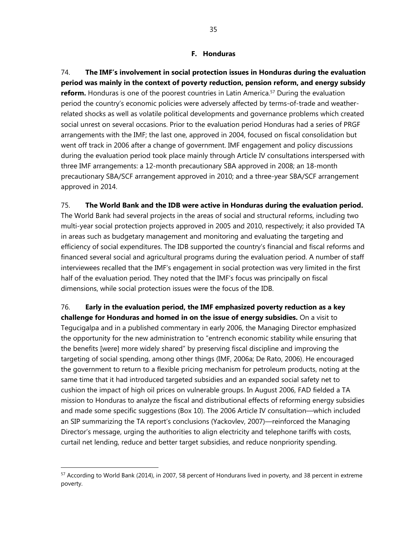### **F. Honduras**

74. **The IMF's involvement in social protection issues in Honduras during the evaluation period was mainly in the context of poverty reduction, pension reform, and energy subsidy reform.** Honduras is one of the poorest countries in Latin America.<sup>57</sup> During the evaluation period the country's economic policies were adversely affected by terms-of-trade and weatherrelated shocks as well as volatile political developments and governance problems which created social unrest on several occasions. Prior to the evaluation period Honduras had a series of PRGF arrangements with the IMF; the last one, approved in 2004, focused on fiscal consolidation but went off track in 2006 after a change of government. IMF engagement and policy discussions during the evaluation period took place mainly through Article IV consultations interspersed with three IMF arrangements: a 12-month precautionary SBA approved in 2008; an 18-month precautionary SBA/SCF arrangement approved in 2010; and a three-year SBA/SCF arrangement approved in 2014.

### 75. **The World Bank and the IDB were active in Honduras during the evaluation period.**

The World Bank had several projects in the areas of social and structural reforms, including two multi-year social protection projects approved in 2005 and 2010, respectively; it also provided TA in areas such as budgetary management and monitoring and evaluating the targeting and efficiency of social expenditures. The IDB supported the country's financial and fiscal reforms and financed several social and agricultural programs during the evaluation period. A number of staff interviewees recalled that the IMF's engagement in social protection was very limited in the first half of the evaluation period. They noted that the IMF's focus was principally on fiscal dimensions, while social protection issues were the focus of the IDB.

## 76. **Early in the evaluation period, the IMF emphasized poverty reduction as a key challenge for Honduras and homed in on the issue of energy subsidies.** On a visit to

Tegucigalpa and in a published commentary in early 2006, the Managing Director emphasized the opportunity for the new administration to "entrench economic stability while ensuring that the benefits [were] more widely shared" by preserving fiscal discipline and improving the targeting of social spending, among other things (IMF, 2006a; De Rato, 2006). He encouraged the government to return to a flexible pricing mechanism for petroleum products, noting at the same time that it had introduced targeted subsidies and an expanded social safety net to cushion the impact of high oil prices on vulnerable groups. In August 2006, FAD fielded a TA mission to Honduras to analyze the fiscal and distributional effects of reforming energy subsidies and made some specific suggestions (Box 10). The 2006 Article IV consultation—which included an SIP summarizing the TA report's conclusions (Yackovlev, 2007)—reinforced the Managing Director's message, urging the authorities to align electricity and telephone tariffs with costs, curtail net lending, reduce and better target subsidies, and reduce nonpriority spending.

1

<sup>57</sup> According to World Bank (2014), in 2007, 58 percent of Hondurans lived in poverty, and 38 percent in extreme poverty.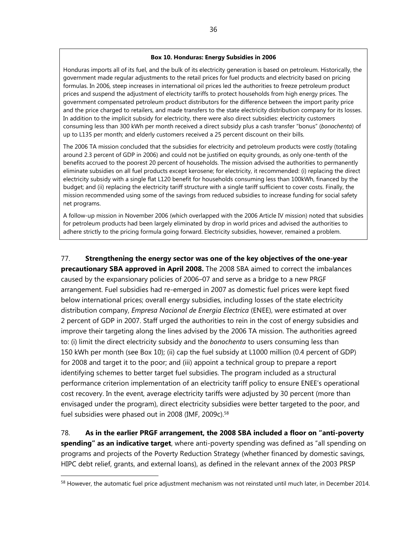#### **Box 10. Honduras: Energy Subsidies in 2006**

Honduras imports all of its fuel, and the bulk of its electricity generation is based on petroleum. Historically, the government made regular adjustments to the retail prices for fuel products and electricity based on pricing formulas. In 2006, steep increases in international oil prices led the authorities to freeze petroleum product prices and suspend the adjustment of electricity tariffs to protect households from high energy prices. The government compensated petroleum product distributors for the difference between the import parity price and the price charged to retailers, and made transfers to the state electricity distribution company for its losses. In addition to the implicit subsidy for electricity, there were also direct subsidies: electricity customers consuming less than 300 kWh per month received a direct subsidy plus a cash transfer "bonus" (*bonochenta*) of up to L135 per month; and elderly customers received a 25 percent discount on their bills.

The 2006 TA mission concluded that the subsidies for electricity and petroleum products were costly (totaling around 2.3 percent of GDP in 2006) and could not be justified on equity grounds, as only one-tenth of the benefits accrued to the poorest 20 percent of households. The mission advised the authorities to permanently eliminate subsidies on all fuel products except kerosene; for electricity, it recommended: (i) replacing the direct electricity subsidy with a single flat L120 benefit for households consuming less than 100kWh, financed by the budget; and (ii) replacing the electricity tariff structure with a single tariff sufficient to cover costs. Finally, the mission recommended using some of the savings from reduced subsidies to increase funding for social safety net programs.

A follow-up mission in November 2006 (which overlapped with the 2006 Article IV mission) noted that subsidies for petroleum products had been largely eliminated by drop in world prices and advised the authorities to adhere strictly to the pricing formula going forward. Electricity subsidies, however, remained a problem.

### 77. **Strengthening the energy sector was one of the key objectives of the one-year**

**precautionary SBA approved in April 2008.** The 2008 SBA aimed to correct the imbalances caused by the expansionary policies of 2006–07 and serve as a bridge to a new PRGF arrangement. Fuel subsidies had re-emerged in 2007 as domestic fuel prices were kept fixed below international prices; overall energy subsidies, including losses of the state electricity distribution company, *Empresa Nacional de Energia Electrica* (ENEE), were estimated at over 2 percent of GDP in 2007. Staff urged the authorities to rein in the cost of energy subsidies and improve their targeting along the lines advised by the 2006 TA mission. The authorities agreed to: (i) limit the direct electricity subsidy and the *bonochenta* to users consuming less than 150 kWh per month (see Box 10); (ii) cap the fuel subsidy at L1000 million (0.4 percent of GDP) for 2008 and target it to the poor; and (iii) appoint a technical group to prepare a report identifying schemes to better target fuel subsidies. The program included as a structural performance criterion implementation of an electricity tariff policy to ensure ENEE's operational cost recovery. In the event, average electricity tariffs were adjusted by 30 percent (more than envisaged under the program), direct electricity subsidies were better targeted to the poor, and fuel subsidies were phased out in 2008 (IMF, 2009c).<sup>58</sup>

78. **As in the earlier PRGF arrangement, the 2008 SBA included a floor on "anti-poverty spending" as an indicative target**, where anti-poverty spending was defined as "all spending on programs and projects of the Poverty Reduction Strategy (whether financed by domestic savings, HIPC debt relief, grants, and external loans), as defined in the relevant annex of the 2003 PRSP

<sup>&</sup>lt;sup>58</sup> However, the automatic fuel price adjustment mechanism was not reinstated until much later, in December 2014.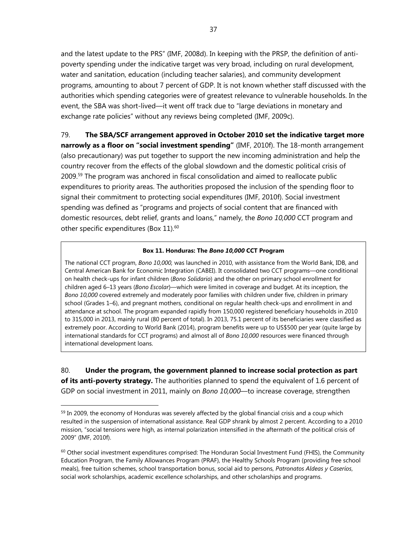and the latest update to the PRS" (IMF, 2008d). In keeping with the PRSP, the definition of antipoverty spending under the indicative target was very broad, including on rural development, water and sanitation, education (including teacher salaries), and community development programs, amounting to about 7 percent of GDP. It is not known whether staff discussed with the authorities which spending categories were of greatest relevance to vulnerable households. In the event, the SBA was short-lived—it went off track due to "large deviations in monetary and exchange rate policies" without any reviews being completed (IMF, 2009c).

79. **The SBA/SCF arrangement approved in October 2010 set the indicative target more narrowly as a floor on "social investment spending"** (IMF, 2010f). The 18-month arrangement (also precautionary) was put together to support the new incoming administration and help the country recover from the effects of the global slowdown and the domestic political crisis of 2009.59 The program was anchored in fiscal consolidation and aimed to reallocate public expenditures to priority areas. The authorities proposed the inclusion of the spending floor to signal their commitment to protecting social expenditures (IMF, 2010f). Social investment spending was defined as "programs and projects of social content that are financed with domestic resources, debt relief, grants and loans," namely, the *Bono 10,000* CCT program and other specific expenditures (Box 11).<sup>60</sup>

#### **Box 11. Honduras: The** *Bono 10,000* **CCT Program**

The national CCT program, *Bono 10,000,* was launched in 2010, with assistance from the World Bank, IDB, and Central American Bank for Economic Integration (CABEI). It consolidated two CCT programs—one conditional on health check-ups for infant children (*Bono Solidario*) and the other on primary school enrollment for children aged 6–13 years (*Bono Escolar*)—which were limited in coverage and budget. At its inception, the *Bono 10,000* covered extremely and moderately poor families with children under five, children in primary school (Grades 1–6), and pregnant mothers, conditional on regular health check-ups and enrollment in and attendance at school. The program expanded rapidly from 150,000 registered beneficiary households in 2010 to 315,000 in 2013, mainly rural (80 percent of total). In 2013, 75.1 percent of its beneficiaries were classified as extremely poor. According to World Bank (2014), program benefits were up to US\$500 per year (quite large by international standards for CCT programs) and almost all of *Bono 10,000* resources were financed through international development loans.

80. **Under the program, the government planned to increase social protection as part of its anti-poverty strategy.** The authorities planned to spend the equivalent of 1.6 percent of GDP on social investment in 2011, mainly on *Bono 10,000*—to increase coverage, strengthen

 $59$  In 2009, the economy of Honduras was severely affected by the global financial crisis and a coup which resulted in the suspension of international assistance. Real GDP shrank by almost 2 percent. According to a 2010 mission, "social tensions were high, as internal polarization intensified in the aftermath of the political crisis of 2009" (IMF, 2010f).

 $60$  Other social investment expenditures comprised: The Honduran Social Investment Fund (FHIS), the Community Education Program, the Family Allowances Program (PRAF), the Healthy Schools Program (providing free school meals), free tuition schemes, school transportation bonus, social aid to persons, *Patronatos Aldeas y Caseríos*, social work scholarships, academic excellence scholarships, and other scholarships and programs.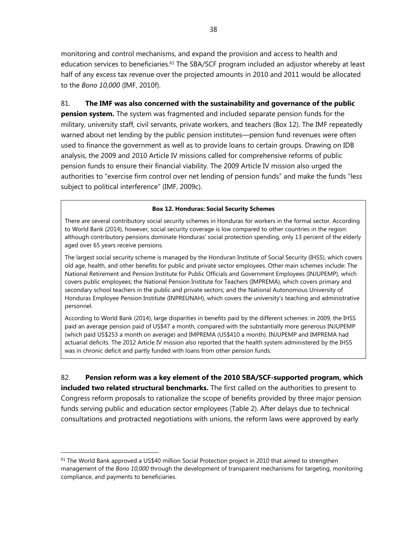monitoring and control mechanisms, and expand the provision and access to health and education services to beneficiaries.<sup>61</sup> The SBA/SCF program included an adjustor whereby at least half of any excess tax revenue over the projected amounts in 2010 and 2011 would be allocated to the *Bono 10,000* (IMF, 2010f).

### 81. **The IMF was also concerned with the sustainability and governance of the public**

**pension system.** The system was fragmented and included separate pension funds for the military, university staff, civil servants, private workers, and teachers (Box 12). The IMF repeatedly warned about net lending by the public pension institutes—pension fund revenues were often used to finance the government as well as to provide loans to certain groups. Drawing on IDB analysis, the 2009 and 2010 Article IV missions called for comprehensive reforms of public pension funds to ensure their financial viability. The 2009 Article IV mission also urged the authorities to "exercise firm control over net lending of pension funds" and make the funds "less subject to political interference" (IMF, 2009c).

### **Box 12. Honduras: Social Security Schemes**

There are several contributory social security schemes in Honduras for workers in the formal sector. According to World Bank (2014), however, social security coverage is low compared to other countries in the region: although contributory pensions dominate Honduras' social protection spending, only 13 percent of the elderly aged over 65 years receive pensions.

The largest social security scheme is managed by the Honduran Institute of Social Security (IHSS), which covers old age, health, and other benefits for public and private sector employees. Other main schemes include: The National Retirement and Pension Institute for Public Officials and Government Employees (INJUPEMP), which covers public employees; the National Pension Institute for Teachers (IMPREMA), which covers primary and secondary school teachers in the public and private sectors; and the National Autonomous University of Honduras Employee Pension Institute (INPREUNAH), which covers the university's teaching and administrative personnel.

According to World Bank (2014), large disparities in benefits paid by the different schemes: in 2009, the IHSS paid an average pension paid of US\$47 a month, compared with the substantially more generous INJUPEMP (which paid US\$253 a month on average) and IMPREMA (US\$410 a month). INJUPEMP and IMPREMA had actuarial deficits. The 2012 Article IV mission also reported that the health system administered by the IHSS was in chronic deficit and partly funded with loans from other pension funds.

82. **Pension reform was a key element of the 2010 SBA/SCF-supported program, which included two related structural benchmarks.** The first called on the authorities to present to Congress reform proposals to rationalize the scope of benefits provided by three major pension funds serving public and education sector employees (Table 2). After delays due to technical consultations and protracted negotiations with unions, the reform laws were approved by early

 $61$  The World Bank approved a US\$40 million Social Protection project in 2010 that aimed to strengthen management of the *Bono 10,000* through the development of transparent mechanisms for targeting, monitoring compliance, and payments to beneficiaries.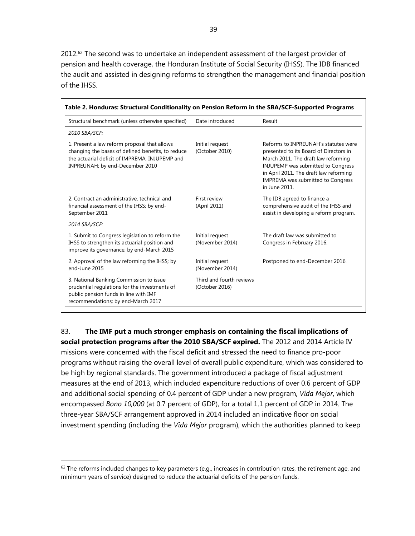2012.<sup>62</sup> The second was to undertake an independent assessment of the largest provider of pension and health coverage, the Honduran Institute of Social Security (IHSS). The IDB financed the audit and assisted in designing reforms to strengthen the management and financial position of the IHSS.

| Structural benchmark (unless otherwise specified)                                                                                                                                      | Date introduced                            | Result                                                                                                                                                                                                                                                                    |
|----------------------------------------------------------------------------------------------------------------------------------------------------------------------------------------|--------------------------------------------|---------------------------------------------------------------------------------------------------------------------------------------------------------------------------------------------------------------------------------------------------------------------------|
| 2010 SBA/SCF:                                                                                                                                                                          |                                            |                                                                                                                                                                                                                                                                           |
| 1. Present a law reform proposal that allows<br>changing the bases of defined benefits, to reduce<br>the actuarial deficit of IMPREMA, INJUPEMP and<br>INPREUNAH; by end-December 2010 | Initial request<br>(October 2010)          | Reforms to INPREUNAH's statutes were<br>presented to its Board of Directors in<br>March 2011. The draft law reforming<br><b>INJUPEMP</b> was submitted to Congress<br>in April 2011. The draft law reforming<br><b>IMPREMA</b> was submitted to Congress<br>in June 2011. |
| 2. Contract an administrative, technical and<br>financial assessment of the IHSS; by end-<br>September 2011                                                                            | First review<br>(April 2011)               | The IDB agreed to finance a<br>comprehensive audit of the IHSS and<br>assist in developing a reform program.                                                                                                                                                              |
| 2014 SBA/SCF:                                                                                                                                                                          |                                            |                                                                                                                                                                                                                                                                           |
| 1. Submit to Congress legislation to reform the<br>IHSS to strengthen its actuarial position and<br>improve its governance; by end-March 2015                                          | Initial request<br>(November 2014)         | The draft law was submitted to<br>Congress in February 2016.                                                                                                                                                                                                              |
| 2. Approval of the law reforming the IHSS; by<br>end-June 2015                                                                                                                         | Initial request<br>(November 2014)         | Postponed to end-December 2016.                                                                                                                                                                                                                                           |
| 3. National Banking Commission to issue<br>prudential regulations for the investments of<br>public pension funds in line with IMF<br>recommendations; by end-March 2017                | Third and fourth reviews<br>(October 2016) |                                                                                                                                                                                                                                                                           |

83. **The IMF put a much stronger emphasis on containing the fiscal implications of social protection programs after the 2010 SBA/SCF expired.** The 2012 and 2014 Article IV

missions were concerned with the fiscal deficit and stressed the need to finance pro-poor programs without raising the overall level of overall public expenditure, which was considered to be high by regional standards. The government introduced a package of fiscal adjustment measures at the end of 2013, which included expenditure reductions of over 0.6 percent of GDP and additional social spending of 0.4 percent of GDP under a new program, *Vida Mejor*, which encompassed *Bono 10,000* (at 0.7 percent of GDP), for a total 1.1 percent of GDP in 2014. The three-year SBA/SCF arrangement approved in 2014 included an indicative floor on social investment spending (including the *Vida Mejor* program), which the authorities planned to keep

 $62$  The reforms included changes to key parameters (e.g., increases in contribution rates, the retirement age, and minimum years of service) designed to reduce the actuarial deficits of the pension funds.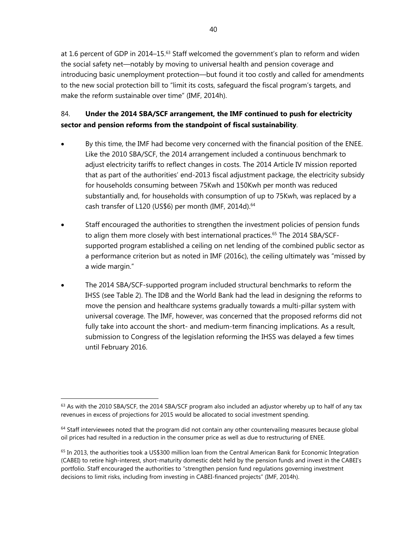at 1.6 percent of GDP in 2014–15.63 Staff welcomed the government's plan to reform and widen the social safety net—notably by moving to universal health and pension coverage and introducing basic unemployment protection—but found it too costly and called for amendments to the new social protection bill to "limit its costs, safeguard the fiscal program's targets, and make the reform sustainable over time" (IMF, 2014h).

# 84. **Under the 2014 SBA/SCF arrangement, the IMF continued to push for electricity sector and pension reforms from the standpoint of fiscal sustainability**.

- By this time, the IMF had become very concerned with the financial position of the ENEE. Like the 2010 SBA/SCF, the 2014 arrangement included a continuous benchmark to adjust electricity tariffs to reflect changes in costs. The 2014 Article IV mission reported that as part of the authorities' end-2013 fiscal adjustment package, the electricity subsidy for households consuming between 75Kwh and 150Kwh per month was reduced substantially and, for households with consumption of up to 75Kwh, was replaced by a cash transfer of L120 (US\$6) per month (IMF, 2014d).<sup>64</sup>
- Staff encouraged the authorities to strengthen the investment policies of pension funds to align them more closely with best international practices.<sup>65</sup> The 2014 SBA/SCFsupported program established a ceiling on net lending of the combined public sector as a performance criterion but as noted in IMF (2016c), the ceiling ultimately was "missed by a wide margin."
- The 2014 SBA/SCF-supported program included structural benchmarks to reform the IHSS (see Table 2). The IDB and the World Bank had the lead in designing the reforms to move the pension and healthcare systems gradually towards a multi-pillar system with universal coverage. The IMF, however, was concerned that the proposed reforms did not fully take into account the short- and medium-term financing implications. As a result, submission to Congress of the legislation reforming the IHSS was delayed a few times until February 2016.

 $63$  As with the 2010 SBA/SCF, the 2014 SBA/SCF program also included an adjustor whereby up to half of any tax revenues in excess of projections for 2015 would be allocated to social investment spending.

 $64$  Staff interviewees noted that the program did not contain any other countervailing measures because global oil prices had resulted in a reduction in the consumer price as well as due to restructuring of ENEE.

 $65$  In 2013, the authorities took a US\$300 million loan from the Central American Bank for Economic Integration (CABEI) to retire high-interest, short-maturity domestic debt held by the pension funds and invest in the CABEI's portfolio. Staff encouraged the authorities to "strengthen pension fund regulations governing investment decisions to limit risks, including from investing in CABEI-financed projects" (IMF, 2014h).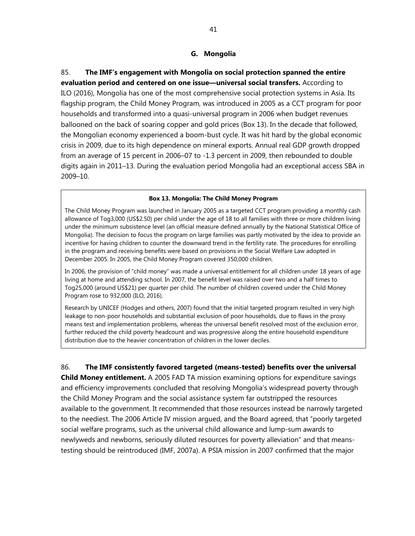85. **The IMF's engagement with Mongolia on social protection spanned the entire evaluation period and centered on one issue—universal social transfers.** According to ILO (2016), Mongolia has one of the most comprehensive social protection systems in Asia. Its flagship program, the Child Money Program, was introduced in 2005 as a CCT program for poor households and transformed into a quasi-universal program in 2006 when budget revenues ballooned on the back of soaring copper and gold prices (Box 13). In the decade that followed, the Mongolian economy experienced a boom-bust cycle. It was hit hard by the global economic crisis in 2009, due to its high dependence on mineral exports. Annual real GDP growth dropped from an average of 15 percent in 2006–07 to -1.3 percent in 2009, then rebounded to double digits again in 2011–13. During the evaluation period Mongolia had an exceptional access SBA in 2009–10.

#### **Box 13. Mongolia: The Child Money Program**

The Child Money Program was launched in January 2005 as a targeted CCT program providing a monthly cash allowance of Tog3,000 (US\$2.50) per child under the age of 18 to all families with three or more children living under the minimum subsistence level (an official measure defined annually by the National Statistical Office of Mongolia). The decision to focus the program on large families was partly motivated by the idea to provide an incentive for having children to counter the downward trend in the fertility rate. The procedures for enrolling in the program and receiving benefits were based on provisions in the Social Welfare Law adopted in December 2005. In 2005, the Child Money Program covered 350,000 children.

In 2006, the provision of "child money" was made a universal entitlement for all children under 18 years of age living at home and attending school. In 2007, the benefit level was raised over two and a half times to Tog25,000 (around US\$21) per quarter per child. The number of children covered under the Child Money Program rose to 932,000 (ILO, 2016).

Research by UNICEF (Hodges and others, 2007) found that the initial targeted program resulted in very high leakage to non-poor households and substantial exclusion of poor households, due to flaws in the proxy means test and implementation problems, whereas the universal benefit resolved most of the exclusion error, further reduced the child poverty headcount and was progressive along the entire household expenditure distribution due to the heavier concentration of children in the lower deciles.

86. **The IMF consistently favored targeted (means-tested) benefits over the universal** 

**Child Money entitlement.** A 2005 FAD TA mission examining options for expenditure savings and efficiency improvements concluded that resolving Mongolia's widespread poverty through the Child Money Program and the social assistance system far outstripped the resources available to the government. It recommended that those resources instead be narrowly targeted to the neediest. The 2006 Article IV mission argued, and the Board agreed, that "poorly targeted social welfare programs, such as the universal child allowance and lump-sum awards to newlyweds and newborns, seriously diluted resources for poverty alleviation" and that meanstesting should be reintroduced (IMF, 2007a). A PSIA mission in 2007 confirmed that the major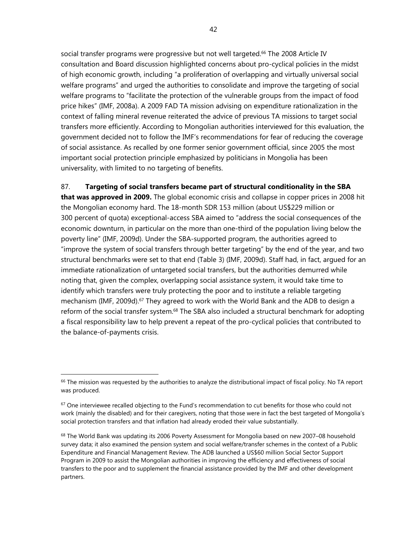social transfer programs were progressive but not well targeted.<sup>66</sup> The 2008 Article IV consultation and Board discussion highlighted concerns about pro-cyclical policies in the midst of high economic growth, including "a proliferation of overlapping and virtually universal social welfare programs" and urged the authorities to consolidate and improve the targeting of social welfare programs to "facilitate the protection of the vulnerable groups from the impact of food price hikes" (IMF, 2008a). A 2009 FAD TA mission advising on expenditure rationalization in the context of falling mineral revenue reiterated the advice of previous TA missions to target social transfers more efficiently. According to Mongolian authorities interviewed for this evaluation, the government decided not to follow the IMF's recommendations for fear of reducing the coverage of social assistance. As recalled by one former senior government official, since 2005 the most important social protection principle emphasized by politicians in Mongolia has been universality, with limited to no targeting of benefits.

### 87. **Targeting of social transfers became part of structural conditionality in the SBA**

**that was approved in 2009.** The global economic crisis and collapse in copper prices in 2008 hit the Mongolian economy hard. The 18-month SDR 153 million (about US\$229 million or 300 percent of quota) exceptional-access SBA aimed to "address the social consequences of the economic downturn, in particular on the more than one-third of the population living below the poverty line" (IMF, 2009d). Under the SBA-supported program, the authorities agreed to "improve the system of social transfers through better targeting" by the end of the year, and two structural benchmarks were set to that end (Table 3) (IMF, 2009d). Staff had, in fact, argued for an immediate rationalization of untargeted social transfers, but the authorities demurred while noting that, given the complex, overlapping social assistance system, it would take time to identify which transfers were truly protecting the poor and to institute a reliable targeting mechanism (IMF, 2009d).<sup>67</sup> They agreed to work with the World Bank and the ADB to design a reform of the social transfer system.<sup>68</sup> The SBA also included a structural benchmark for adopting a fiscal responsibility law to help prevent a repeat of the pro-cyclical policies that contributed to the balance-of-payments crisis.

 $66$  The mission was requested by the authorities to analyze the distributional impact of fiscal policy. No TA report was produced.

<sup>&</sup>lt;sup>67</sup> One interviewee recalled objecting to the Fund's recommendation to cut benefits for those who could not work (mainly the disabled) and for their caregivers, noting that those were in fact the best targeted of Mongolia's social protection transfers and that inflation had already eroded their value substantially.

<sup>68</sup> The World Bank was updating its 2006 Poverty Assessment for Mongolia based on new 2007–08 household survey data; it also examined the pension system and social welfare/transfer schemes in the context of a Public Expenditure and Financial Management Review. The ADB launched a US\$60 million Social Sector Support Program in 2009 to assist the Mongolian authorities in improving the efficiency and effectiveness of social transfers to the poor and to supplement the financial assistance provided by the IMF and other development partners.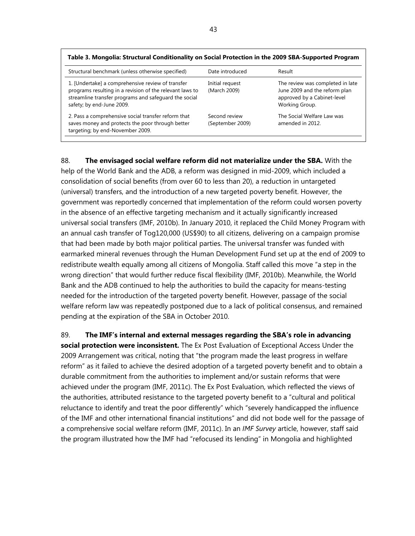| Structural benchmark (unless otherwise specified)                                                                                                                                                   | Date introduced                   | Result                                                                                                             |
|-----------------------------------------------------------------------------------------------------------------------------------------------------------------------------------------------------|-----------------------------------|--------------------------------------------------------------------------------------------------------------------|
| 1. [Undertake] a comprehensive review of transfer<br>programs resulting in a revision of the relevant laws to<br>streamline transfer programs and safeguard the social<br>safety; by end-June 2009. | Initial request<br>(March 2009)   | The review was completed in late<br>June 2009 and the reform plan<br>approved by a Cabinet-level<br>Working Group. |
| 2. Pass a comprehensive social transfer reform that<br>saves money and protects the poor through better<br>targeting; by end-November 2009.                                                         | Second review<br>(September 2009) | The Social Welfare Law was<br>amended in 2012.                                                                     |

#### **Table 3. Mongolia: Structural Conditionality on Social Protection in the 2009 SBA-Supported Program**

88. **The envisaged social welfare reform did not materialize under the SBA.** With the

help of the World Bank and the ADB, a reform was designed in mid-2009, which included a consolidation of social benefits (from over 60 to less than 20), a reduction in untargeted (universal) transfers, and the introduction of a new targeted poverty benefit. However, the government was reportedly concerned that implementation of the reform could worsen poverty in the absence of an effective targeting mechanism and it actually significantly increased universal social transfers (IMF, 2010b). In January 2010, it replaced the Child Money Program with an annual cash transfer of Tog120,000 (US\$90) to all citizens, delivering on a campaign promise that had been made by both major political parties. The universal transfer was funded with earmarked mineral revenues through the Human Development Fund set up at the end of 2009 to redistribute wealth equally among all citizens of Mongolia. Staff called this move "a step in the wrong direction" that would further reduce fiscal flexibility (IMF, 2010b). Meanwhile, the World Bank and the ADB continued to help the authorities to build the capacity for means-testing needed for the introduction of the targeted poverty benefit. However, passage of the social welfare reform law was repeatedly postponed due to a lack of political consensus, and remained pending at the expiration of the SBA in October 2010.

89. **The IMF's internal and external messages regarding the SBA's role in advancing social protection were inconsistent.** The Ex Post Evaluation of Exceptional Access Under the 2009 Arrangement was critical, noting that "the program made the least progress in welfare reform" as it failed to achieve the desired adoption of a targeted poverty benefit and to obtain a durable commitment from the authorities to implement and/or sustain reforms that were achieved under the program (IMF, 2011c). The Ex Post Evaluation, which reflected the views of the authorities, attributed resistance to the targeted poverty benefit to a "cultural and political reluctance to identify and treat the poor differently" which "severely handicapped the influence of the IMF and other international financial institutions" and did not bode well for the passage of a comprehensive social welfare reform (IMF, 2011c). In an *IMF Survey* article, however, staff said the program illustrated how the IMF had "refocused its lending" in Mongolia and highlighted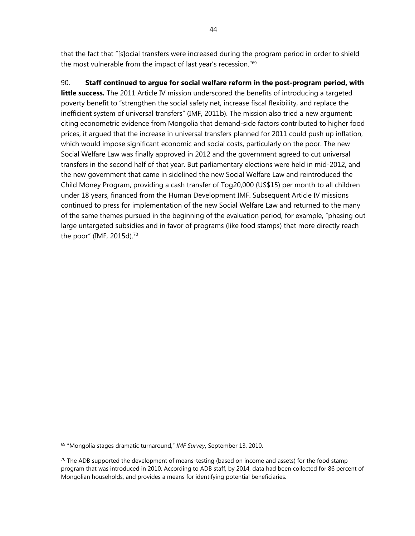that the fact that "[s]ocial transfers were increased during the program period in order to shield the most vulnerable from the impact of last year's recession."<sup>69</sup>

90. **Staff continued to argue for social welfare reform in the post-program period, with**  little success. The 2011 Article IV mission underscored the benefits of introducing a targeted poverty benefit to "strengthen the social safety net, increase fiscal flexibility, and replace the inefficient system of universal transfers" (IMF, 2011b). The mission also tried a new argument: citing econometric evidence from Mongolia that demand-side factors contributed to higher food prices, it argued that the increase in universal transfers planned for 2011 could push up inflation, which would impose significant economic and social costs, particularly on the poor. The new Social Welfare Law was finally approved in 2012 and the government agreed to cut universal transfers in the second half of that year. But parliamentary elections were held in mid-2012, and the new government that came in sidelined the new Social Welfare Law and reintroduced the Child Money Program, providing a cash transfer of Tog20,000 (US\$15) per month to all children under 18 years, financed from the Human Development IMF. Subsequent Article IV missions continued to press for implementation of the new Social Welfare Law and returned to the many of the same themes pursued in the beginning of the evaluation period, for example, "phasing out large untargeted subsidies and in favor of programs (like food stamps) that more directly reach the poor" (IMF, 2015d).70

<sup>69 &</sup>quot;Mongolia stages dramatic turnaround," *IMF Survey*, September 13, 2010.

 $70$  The ADB supported the development of means-testing (based on income and assets) for the food stamp program that was introduced in 2010. According to ADB staff, by 2014, data had been collected for 86 percent of Mongolian households, and provides a means for identifying potential beneficiaries.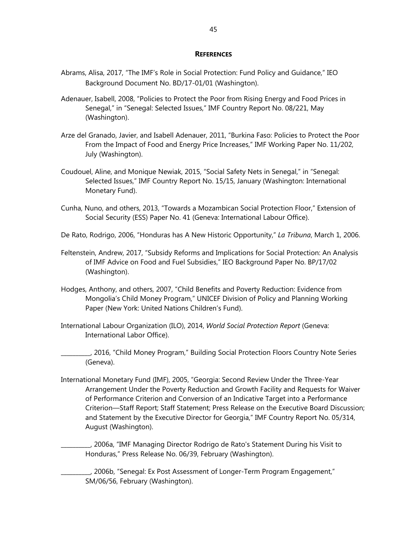#### **REFERENCES**

- Abrams, Alisa, 2017, "The IMF's Role in Social Protection: Fund Policy and Guidance," IEO Background Document No. BD/17-01/01 (Washington).
- Adenauer, Isabell, 2008, "Policies to Protect the Poor from Rising Energy and Food Prices in Senegal," in "Senegal: Selected Issues," IMF Country Report No. 08/221, May (Washington).
- Arze del Granado, Javier, and Isabell Adenauer, 2011, "Burkina Faso: Policies to Protect the Poor From the Impact of Food and Energy Price Increases," IMF Working Paper No. 11/202, July (Washington).
- Coudouel, Aline, and Monique Newiak, 2015, "Social Safety Nets in Senegal," in "Senegal: Selected Issues," IMF Country Report No. 15/15, January (Washington: International Monetary Fund).
- Cunha, Nuno, and others, 2013, "Towards a Mozambican Social Protection Floor," Extension of Social Security (ESS) Paper No. 41 (Geneva: International Labour Office).

De Rato, Rodrigo, 2006, "Honduras has A New Historic Opportunity," *La Tribuna*, March 1, 2006.

- Feltenstein, Andrew, 2017, "Subsidy Reforms and Implications for Social Protection: An Analysis of IMF Advice on Food and Fuel Subsidies," IEO Background Paper No. BP/17/02 (Washington).
- Hodges, Anthony, and others, 2007, "Child Benefits and Poverty Reduction: Evidence from Mongolia's Child Money Program," UNICEF Division of Policy and Planning Working Paper (New York: United Nations Children's Fund).
- International Labour Organization (ILO), 2014, *World Social Protection Report* (Geneva: International Labor Office).

\_\_\_\_\_\_\_\_\_\_, 2016, "Child Money Program," Building Social Protection Floors Country Note Series (Geneva).

International Monetary Fund (IMF), 2005, "Georgia: Second Review Under the Three-Year Arrangement Under the Poverty Reduction and Growth Facility and Requests for Waiver of Performance Criterion and Conversion of an Indicative Target into a Performance Criterion—Staff Report; Staff Statement; Press Release on the Executive Board Discussion; and Statement by the Executive Director for Georgia," IMF Country Report No. 05/314, August (Washington).

\_\_\_\_\_\_\_\_\_\_, 2006a, "IMF Managing Director Rodrigo de Rato's Statement During his Visit to Honduras," Press Release No. 06/39, February (Washington).

\_\_\_\_\_\_\_\_\_\_, 2006b, "Senegal: Ex Post Assessment of Longer-Term Program Engagement," SM/06/56, February (Washington).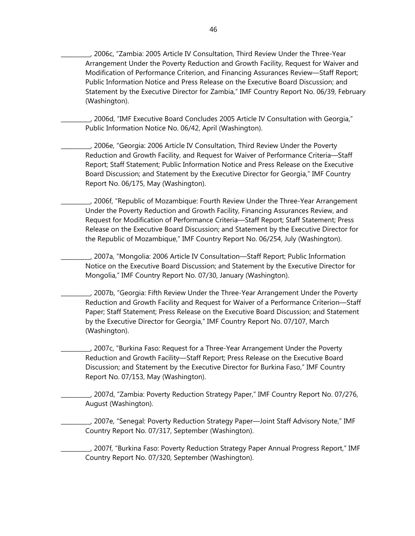\_\_\_\_\_\_\_\_\_\_, 2006c, "Zambia: 2005 Article IV Consultation, Third Review Under the Three-Year Arrangement Under the Poverty Reduction and Growth Facility, Request for Waiver and Modification of Performance Criterion, and Financing Assurances Review—Staff Report; Public Information Notice and Press Release on the Executive Board Discussion; and Statement by the Executive Director for Zambia," IMF Country Report No. 06/39, February (Washington).

\_\_\_\_\_\_\_\_\_\_, 2006d, "IMF Executive Board Concludes 2005 Article IV Consultation with Georgia," Public Information Notice No. 06/42, April (Washington).

\_\_\_\_\_\_\_\_\_\_, 2006e, "Georgia: 2006 Article IV Consultation, Third Review Under the Poverty Reduction and Growth Facility, and Request for Waiver of Performance Criteria—Staff Report; Staff Statement; Public Information Notice and Press Release on the Executive Board Discussion; and Statement by the Executive Director for Georgia," IMF Country Report No. 06/175, May (Washington).

\_\_\_\_\_\_\_\_\_\_, 2006f, "Republic of Mozambique: Fourth Review Under the Three-Year Arrangement Under the Poverty Reduction and Growth Facility, Financing Assurances Review, and Request for Modification of Performance Criteria—Staff Report; Staff Statement; Press Release on the Executive Board Discussion; and Statement by the Executive Director for the Republic of Mozambique," IMF Country Report No. 06/254, July (Washington).

\_\_\_\_\_\_\_\_\_\_, 2007a, "Mongolia: 2006 Article IV Consultation—Staff Report; Public Information Notice on the Executive Board Discussion; and Statement by the Executive Director for Mongolia," IMF Country Report No. 07/30, January (Washington).

\_\_\_\_\_\_\_\_\_\_, 2007b, "Georgia: Fifth Review Under the Three-Year Arrangement Under the Poverty Reduction and Growth Facility and Request for Waiver of a Performance Criterion—Staff Paper; Staff Statement; Press Release on the Executive Board Discussion; and Statement by the Executive Director for Georgia," IMF Country Report No. 07/107, March (Washington).

\_\_\_\_\_\_\_\_\_\_, 2007c, "Burkina Faso: Request for a Three-Year Arrangement Under the Poverty Reduction and Growth Facility—Staff Report; Press Release on the Executive Board Discussion; and Statement by the Executive Director for Burkina Faso," IMF Country Report No. 07/153, May (Washington).

\_\_\_\_\_\_\_\_\_\_, 2007d, "Zambia: Poverty Reduction Strategy Paper," IMF Country Report No. 07/276, August (Washington).

\_\_\_\_\_\_\_\_\_\_, 2007e, "Senegal: Poverty Reduction Strategy Paper—Joint Staff Advisory Note," IMF Country Report No. 07/317, September (Washington).

\_\_\_\_\_\_\_\_\_\_, 2007f, "Burkina Faso: Poverty Reduction Strategy Paper Annual Progress Report," IMF Country Report No. 07/320, September (Washington).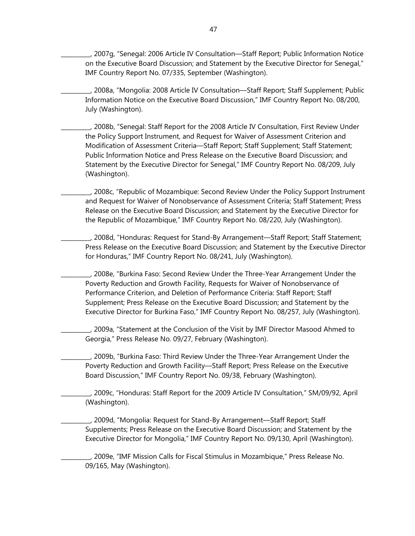\_\_\_\_\_\_\_\_\_\_, 2007g, "Senegal: 2006 Article IV Consultation—Staff Report; Public Information Notice on the Executive Board Discussion; and Statement by the Executive Director for Senegal," IMF Country Report No. 07/335, September (Washington).

\_\_\_\_\_\_\_\_\_\_, 2008a, "Mongolia: 2008 Article IV Consultation—Staff Report; Staff Supplement; Public Information Notice on the Executive Board Discussion," IMF Country Report No. 08/200, July (Washington).

\_\_\_\_\_\_\_\_\_\_, 2008b, "Senegal: Staff Report for the 2008 Article IV Consultation, First Review Under the Policy Support Instrument, and Request for Waiver of Assessment Criterion and Modification of Assessment Criteria—Staff Report; Staff Supplement; Staff Statement; Public Information Notice and Press Release on the Executive Board Discussion; and Statement by the Executive Director for Senegal," IMF Country Report No. 08/209, July (Washington).

\_\_\_\_\_\_\_\_\_\_, 2008c, "Republic of Mozambique: Second Review Under the Policy Support Instrument and Request for Waiver of Nonobservance of Assessment Criteria; Staff Statement; Press Release on the Executive Board Discussion; and Statement by the Executive Director for the Republic of Mozambique," IMF Country Report No. 08/220, July (Washington).

\_\_\_\_\_\_\_\_\_\_, 2008d, "Honduras: Request for Stand-By Arrangement—Staff Report; Staff Statement; Press Release on the Executive Board Discussion; and Statement by the Executive Director for Honduras," IMF Country Report No. 08/241, July (Washington).

\_\_\_\_\_\_\_\_\_\_, 2008e, "Burkina Faso: Second Review Under the Three-Year Arrangement Under the Poverty Reduction and Growth Facility, Requests for Waiver of Nonobservance of Performance Criterion, and Deletion of Performance Criteria: Staff Report; Staff Supplement; Press Release on the Executive Board Discussion; and Statement by the Executive Director for Burkina Faso," IMF Country Report No. 08/257, July (Washington).

\_\_\_\_\_\_\_\_\_\_, 2009a, "Statement at the Conclusion of the Visit by IMF Director Masood Ahmed to Georgia," Press Release No. 09/27, February (Washington).

\_\_\_\_\_\_\_\_\_\_, 2009b, "Burkina Faso: Third Review Under the Three-Year Arrangement Under the Poverty Reduction and Growth Facility—Staff Report; Press Release on the Executive Board Discussion," IMF Country Report No. 09/38, February (Washington).

\_\_\_\_\_\_\_\_\_\_, 2009c, "Honduras: Staff Report for the 2009 Article IV Consultation," SM/09/92, April (Washington).

\_\_\_\_\_\_\_\_\_\_, 2009d, "Mongolia: Request for Stand-By Arrangement—Staff Report; Staff Supplements; Press Release on the Executive Board Discussion; and Statement by the Executive Director for Mongolia," IMF Country Report No. 09/130, April (Washington).

\_\_\_\_\_\_\_\_\_\_, 2009e, "IMF Mission Calls for Fiscal Stimulus in Mozambique," Press Release No. 09/165, May (Washington).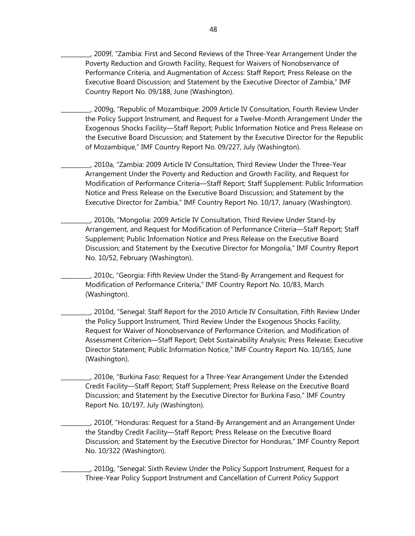\_\_\_\_\_\_\_\_\_\_, 2009f, "Zambia: First and Second Reviews of the Three-Year Arrangement Under the Poverty Reduction and Growth Facility, Request for Waivers of Nonobservance of Performance Criteria, and Augmentation of Access: Staff Report; Press Release on the Executive Board Discussion; and Statement by the Executive Director of Zambia," IMF Country Report No. 09/188, June (Washington).

\_\_\_\_\_\_\_\_\_\_, 2009g, "Republic of Mozambique: 2009 Article IV Consultation, Fourth Review Under the Policy Support Instrument, and Request for a Twelve-Month Arrangement Under the Exogenous Shocks Facility—Staff Report; Public Information Notice and Press Release on the Executive Board Discussion; and Statement by the Executive Director for the Republic of Mozambique," IMF Country Report No. 09/227, July (Washington).

\_\_\_\_\_\_\_\_\_\_, 2010a, "Zambia: 2009 Article IV Consultation, Third Review Under the Three-Year Arrangement Under the Poverty and Reduction and Growth Facility, and Request for Modification of Performance Criteria—Staff Report; Staff Supplement: Public Information Notice and Press Release on the Executive Board Discussion; and Statement by the Executive Director for Zambia," IMF Country Report No. 10/17, January (Washington).

\_\_\_\_\_\_\_\_\_\_, 2010b, "Mongolia: 2009 Article IV Consultation, Third Review Under Stand-by Arrangement, and Request for Modification of Performance Criteria—Staff Report; Staff Supplement; Public Information Notice and Press Release on the Executive Board Discussion; and Statement by the Executive Director for Mongolia," IMF Country Report No. 10/52, February (Washington).

\_\_\_\_\_\_\_\_\_\_, 2010c, "Georgia: Fifth Review Under the Stand-By Arrangement and Request for Modification of Performance Criteria," IMF Country Report No. 10/83, March (Washington).

\_\_\_\_\_\_\_\_\_\_, 2010d, "Senegal: Staff Report for the 2010 Article IV Consultation, Fifth Review Under the Policy Support Instrument, Third Review Under the Exogenous Shocks Facility, Request for Waiver of Nonobservance of Performance Criterion, and Modification of Assessment Criterion—Staff Report; Debt Sustainability Analysis; Press Release; Executive Director Statement; Public Information Notice," IMF Country Report No. 10/165, June (Washington).

\_\_\_\_\_\_\_\_\_\_, 2010e, "Burkina Faso: Request for a Three-Year Arrangement Under the Extended Credit Facility—Staff Report; Staff Supplement; Press Release on the Executive Board Discussion; and Statement by the Executive Director for Burkina Faso," IMF Country Report No. 10/197, July (Washington).

\_\_\_\_\_\_\_\_\_\_, 2010f, "Honduras: Request for a Stand-By Arrangement and an Arrangement Under the Standby Credit Facility—Staff Report; Press Release on the Executive Board Discussion; and Statement by the Executive Director for Honduras," IMF Country Report No. 10/322 (Washington).

\_\_\_\_\_\_\_\_\_\_, 2010g, "Senegal: Sixth Review Under the Policy Support Instrument, Request for a Three-Year Policy Support Instrument and Cancellation of Current Policy Support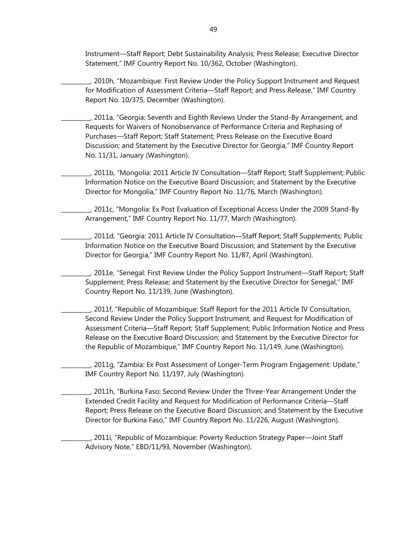Instrument—Staff Report; Debt Sustainability Analysis; Press Release; Executive Director Statement," IMF Country Report No. 10/362, October (Washington).

\_\_\_\_\_\_\_\_\_\_, 2010h, "Mozambique: First Review Under the Policy Support Instrument and Request for Modification of Assessment Criteria—Staff Report; and Press Release," IMF Country Report No. 10/375, December (Washington).

\_\_\_\_\_\_\_\_\_\_, 2011a, "Georgia: Seventh and Eighth Reviews Under the Stand-By Arrangement, and Requests for Waivers of Nonobservance of Performance Criteria and Rephasing of Purchases—Staff Report; Staff Statement; Press Release on the Executive Board Discussion; and Statement by the Executive Director for Georgia," IMF Country Report No. 11/31, January (Washington).

\_\_\_\_\_\_\_\_\_\_, 2011b, "Mongolia: 2011 Article IV Consultation—Staff Report; Staff Supplement; Public Information Notice on the Executive Board Discussion; and Statement by the Executive Director for Mongolia," IMF Country Report No. 11/76, March (Washington).

\_\_\_\_\_\_\_\_\_\_, 2011c, "Mongolia: Ex Post Evaluation of Exceptional Access Under the 2009 Stand-By Arrangement," IMF Country Report No. 11/77, March (Washington).

\_\_\_\_\_\_\_\_\_\_, 2011d, "Georgia: 2011 Article IV Consultation—Staff Report; Staff Supplements; Public Information Notice on the Executive Board Discussion; and Statement by the Executive Director for Georgia," IMF Country Report No. 11/87, April (Washington).

\_\_\_\_\_\_\_\_\_\_, 2011e, "Senegal: First Review Under the Policy Support Instrument—Staff Report; Staff Supplement; Press Release; and Statement by the Executive Director for Senegal," IMF Country Report No. 11/139, June (Washington).

\_\_\_\_\_\_\_\_\_\_, 2011f, "Republic of Mozambique: Staff Report for the 2011 Article IV Consultation, Second Review Under the Policy Support Instrument, and Request for Modification of Assessment Criteria—Staff Report; Staff Supplement; Public Information Notice and Press Release on the Executive Board Discussion; and Statement by the Executive Director for the Republic of Mozambique," IMF Country Report No. 11/149, June (Washington).

\_\_\_\_\_\_\_\_\_\_, 2011g, "Zambia: Ex Post Assessment of Longer-Term Program Engagement: Update," IMF Country Report No. 11/197, July (Washington).

\_\_\_\_\_\_\_\_\_\_, 2011h, "Burkina Faso: Second Review Under the Three-Year Arrangement Under the Extended Credit Facility and Request for Modification of Performance Criteria—Staff Report; Press Release on the Executive Board Discussion; and Statement by the Executive Director for Burkina Faso," IMF Country Report No. 11/226, August (Washington).

\_\_\_\_\_\_\_\_\_\_, 2011i, "Republic of Mozambique: Poverty Reduction Strategy Paper—Joint Staff Advisory Note," EBD/11/93, November (Washington).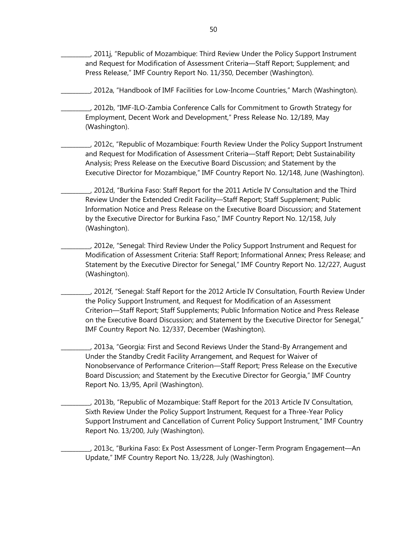\_\_\_\_\_\_\_\_\_\_, 2011j, "Republic of Mozambique: Third Review Under the Policy Support Instrument and Request for Modification of Assessment Criteria—Staff Report; Supplement; and Press Release," IMF Country Report No. 11/350, December (Washington).

\_\_\_\_\_\_\_\_\_\_, 2012a, "Handbook of IMF Facilities for Low-Income Countries," March (Washington).

\_\_\_\_\_\_\_\_\_\_, 2012b, "IMF-ILO-Zambia Conference Calls for Commitment to Growth Strategy for Employment, Decent Work and Development," Press Release No. 12/189, May (Washington).

\_\_\_\_\_\_\_\_\_\_, 2012c, "Republic of Mozambique: Fourth Review Under the Policy Support Instrument and Request for Modification of Assessment Criteria—Staff Report; Debt Sustainability Analysis; Press Release on the Executive Board Discussion; and Statement by the Executive Director for Mozambique," IMF Country Report No. 12/148, June (Washington).

\_\_\_\_\_\_\_\_\_\_, 2012d, "Burkina Faso: Staff Report for the 2011 Article IV Consultation and the Third Review Under the Extended Credit Facility—Staff Report; Staff Supplement; Public Information Notice and Press Release on the Executive Board Discussion; and Statement by the Executive Director for Burkina Faso," IMF Country Report No. 12/158, July (Washington).

\_\_\_\_\_\_\_\_\_\_, 2012e, "Senegal: Third Review Under the Policy Support Instrument and Request for Modification of Assessment Criteria: Staff Report; Informational Annex; Press Release; and Statement by the Executive Director for Senegal," IMF Country Report No. 12/227, August (Washington).

\_\_\_\_\_\_\_\_\_\_, 2012f, "Senegal: Staff Report for the 2012 Article IV Consultation, Fourth Review Under the Policy Support Instrument, and Request for Modification of an Assessment Criterion—Staff Report; Staff Supplements; Public Information Notice and Press Release on the Executive Board Discussion; and Statement by the Executive Director for Senegal," IMF Country Report No. 12/337, December (Washington).

\_\_\_\_\_\_\_\_\_\_, 2013a, "Georgia: First and Second Reviews Under the Stand-By Arrangement and Under the Standby Credit Facility Arrangement, and Request for Waiver of Nonobservance of Performance Criterion—Staff Report; Press Release on the Executive Board Discussion; and Statement by the Executive Director for Georgia," IMF Country Report No. 13/95, April (Washington).

\_\_\_\_\_\_\_\_\_\_, 2013b, "Republic of Mozambique: Staff Report for the 2013 Article IV Consultation, Sixth Review Under the Policy Support Instrument, Request for a Three-Year Policy Support Instrument and Cancellation of Current Policy Support Instrument," IMF Country Report No. 13/200, July (Washington).

\_\_\_\_\_\_\_\_\_\_, 2013c, "Burkina Faso: Ex Post Assessment of Longer-Term Program Engagement—An Update," IMF Country Report No. 13/228, July (Washington).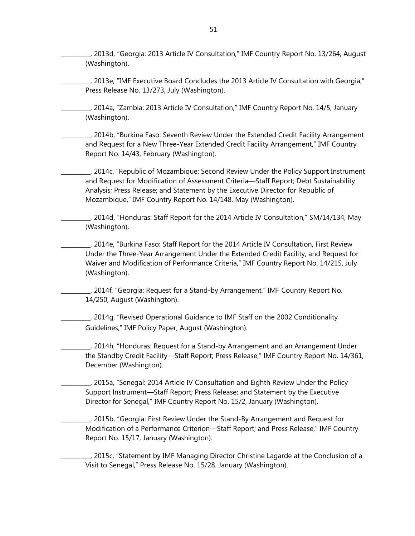\_\_\_\_\_\_\_\_\_\_, 2013d, "Georgia: 2013 Article IV Consultation," IMF Country Report No. 13/264, August (Washington).

\_\_\_\_\_\_\_\_\_\_, 2013e, "IMF Executive Board Concludes the 2013 Article IV Consultation with Georgia," Press Release No. 13/273, July (Washington).

\_\_\_\_\_\_\_\_\_\_, 2014a, "Zambia: 2013 Article IV Consultation," IMF Country Report No. 14/5, January (Washington).

\_\_\_\_\_\_\_\_\_\_, 2014b, "Burkina Faso: Seventh Review Under the Extended Credit Facility Arrangement and Request for a New Three-Year Extended Credit Facility Arrangement," IMF Country Report No. 14/43, February (Washington).

\_\_\_\_\_\_\_\_\_\_, 2014c, "Republic of Mozambique: Second Review Under the Policy Support Instrument and Request for Modification of Assessment Criteria—Staff Report; Debt Sustainability Analysis; Press Release; and Statement by the Executive Director for Republic of Mozambique," IMF Country Report No. 14/148, May (Washington).

\_\_\_\_\_\_\_\_\_\_, 2014d, "Honduras: Staff Report for the 2014 Article IV Consultation," SM/14/134, May (Washington).

\_\_\_\_\_\_\_\_\_\_, 2014e, "Burkina Faso: Staff Report for the 2014 Article IV Consultation, First Review Under the Three-Year Arrangement Under the Extended Credit Facility, and Request for Waiver and Modification of Performance Criteria," IMF Country Report No. 14/215, July (Washington).

\_\_\_\_\_\_\_\_\_\_, 2014f, "Georgia: Request for a Stand-by Arrangement," IMF Country Report No. 14/250, August (Washington).

\_\_\_\_\_\_\_\_\_\_, 2014g, "Revised Operational Guidance to IMF Staff on the 2002 Conditionality Guidelines," IMF Policy Paper, August (Washington).

\_\_\_\_\_\_\_\_\_\_, 2014h, "Honduras: Request for a Stand-by Arrangement and an Arrangement Under the Standby Credit Facility—Staff Report; Press Release," IMF Country Report No. 14/361, December (Washington).

\_\_\_\_\_\_\_\_\_\_, 2015a, "Senegal: 2014 Article IV Consultation and Eighth Review Under the Policy Support Instrument—Staff Report; Press Release; and Statement by the Executive Director for Senegal," IMF Country Report No. 15/2, January (Washington).

\_\_\_\_\_\_\_\_\_\_, 2015b, "Georgia: First Review Under the Stand-By Arrangement and Request for Modification of a Performance Criterion—Staff Report; and Press Release," IMF Country Report No. 15/17, January (Washington).

\_\_\_\_\_\_\_\_\_\_, 2015c, "Statement by IMF Managing Director Christine Lagarde at the Conclusion of a Visit to Senegal," Press Release No. 15/28. January (Washington).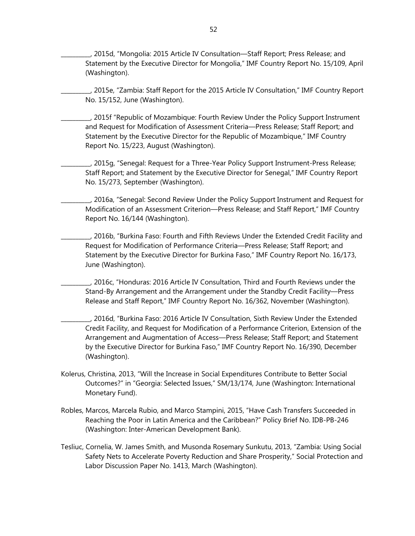\_\_\_\_\_\_\_\_\_\_, 2015d, "Mongolia: 2015 Article IV Consultation—Staff Report; Press Release; and Statement by the Executive Director for Mongolia," IMF Country Report No. 15/109, April (Washington).

\_\_\_\_\_\_\_\_\_\_, 2015e, "Zambia: Staff Report for the 2015 Article IV Consultation," IMF Country Report No. 15/152, June (Washington).

\_\_\_\_\_\_\_\_\_\_, 2015f "Republic of Mozambique: Fourth Review Under the Policy Support Instrument and Request for Modification of Assessment Criteria—Press Release; Staff Report; and Statement by the Executive Director for the Republic of Mozambique," IMF Country Report No. 15/223, August (Washington).

\_\_\_\_\_\_\_\_\_\_, 2015g, "Senegal: Request for a Three-Year Policy Support Instrument-Press Release; Staff Report; and Statement by the Executive Director for Senegal," IMF Country Report No. 15/273, September (Washington).

\_\_\_\_\_\_\_\_\_\_, 2016a, "Senegal: Second Review Under the Policy Support Instrument and Request for Modification of an Assessment Criterion—Press Release; and Staff Report," IMF Country Report No. 16/144 (Washington).

\_\_\_\_\_\_\_\_\_\_, 2016b, "Burkina Faso: Fourth and Fifth Reviews Under the Extended Credit Facility and Request for Modification of Performance Criteria—Press Release; Staff Report; and Statement by the Executive Director for Burkina Faso," IMF Country Report No. 16/173, June (Washington).

\_\_\_\_\_\_\_\_\_\_, 2016c, "Honduras: 2016 Article IV Consultation, Third and Fourth Reviews under the Stand-By Arrangement and the Arrangement under the Standby Credit Facility—Press Release and Staff Report," IMF Country Report No. 16/362, November (Washington).

\_\_\_\_\_\_\_\_\_\_, 2016d, "Burkina Faso: 2016 Article IV Consultation, Sixth Review Under the Extended Credit Facility, and Request for Modification of a Performance Criterion, Extension of the Arrangement and Augmentation of Access—Press Release; Staff Report; and Statement by the Executive Director for Burkina Faso," IMF Country Report No. 16/390, December (Washington).

- Kolerus, Christina, 2013, "Will the Increase in Social Expenditures Contribute to Better Social Outcomes?" in "Georgia: Selected Issues," SM/13/174, June (Washington: International Monetary Fund).
- Robles, Marcos, Marcela Rubio, and Marco Stampini, 2015, "Have Cash Transfers Succeeded in Reaching the Poor in Latin America and the Caribbean?" Policy Brief No. IDB-PB-246 (Washington: Inter-American Development Bank).
- Tesliuc, Cornelia, W. James Smith, and Musonda Rosemary Sunkutu, 2013, "Zambia: Using Social Safety Nets to Accelerate Poverty Reduction and Share Prosperity," Social Protection and Labor Discussion Paper No. 1413, March (Washington).